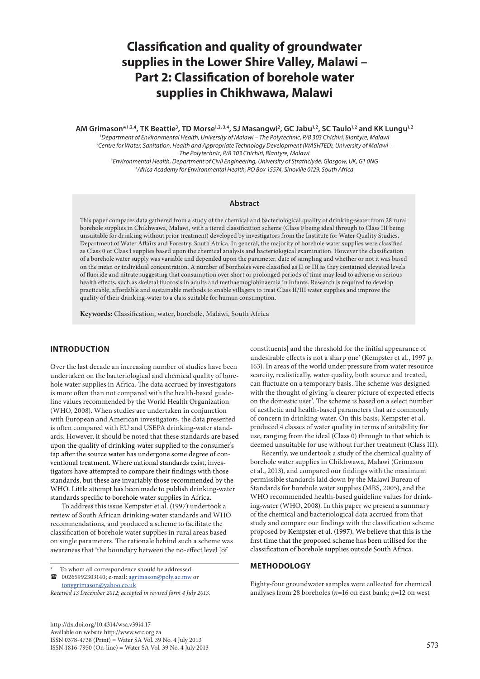# **Classification and quality of groundwater supplies in the Lower Shire Valley, Malawi – Part 2: Classification of borehole water supplies in Chikhwawa, Malawi**

AM Grimason\*<sup>1,2,4</sup>, TK Beattie<sup>3</sup>, TD Morse<sup>1,2, 3,4</sup>, SJ Masangwi<sup>2</sup>, GC Jabu<sup>1,2</sup>, SC Taulo<sup>1,2</sup> and KK Lungu<sup>1,2</sup>

 *Department of Environmental Health, University of Malawi – The Polytechnic, P/B 303 Chichiri, Blantyre, Malawi Centre for Water, Sanitation, Health and Appropriate Technology Development (WASHTED), University of Malawi – The Polytechnic, P/B 303 Chichiri, Blantyre, Malawi Environmental Health, Department of Civil Engineering, University of Strathclyde, Glasgow, UK, G1 0NG*

*4 Africa Academy for Environmental Health, PO Box 15574, Sinoville 0129, South Africa*

## **Abstract**

This paper compares data gathered from a study of the chemical and bacteriological quality of drinking-water from 28 rural borehole supplies in Chikhwawa, Malawi, with a tiered classification scheme (Class 0 being ideal through to Class III being unsuitable for drinking without prior treatment) developed by investigators from the Institute for Water Quality Studies, Department of Water Affairs and Forestry, South Africa. In general, the majority of borehole water supplies were classified as Class 0 or Class I supplies based upon the chemical analysis and bacteriological examination. However the classification of a borehole water supply was variable and depended upon the parameter, date of sampling and whether or not it was based on the mean or individual concentration. A number of boreholes were classified as II or III as they contained elevated levels of fluoride and nitrate suggesting that consumption over short or prolonged periods of time may lead to adverse or serious health effects, such as skeletal fluorosis in adults and methaemoglobinaemia in infants. Research is required to develop practicable, affordable and sustainable methods to enable villagers to treat Class II/III water supplies and improve the quality of their drinking-water to a class suitable for human consumption.

**Keywords:** Classification, water, borehole, Malawi, South Africa

# **INTRODUCTION**

Over the last decade an increasing number of studies have been undertaken on the bacteriological and chemical quality of borehole water supplies in Africa. The data accrued by investigators is more often than not compared with the health-based guideline values recommended by the World Health Organization (WHO, 2008). When studies are undertaken in conjunction with European and American investigators, the data presented is often compared with EU and USEPA drinking-water standards. However, it should be noted that these standards are based upon the quality of drinking-water supplied to the consumer's tap after the source water has undergone some degree of conventional treatment. Where national standards exist, investigators have attempted to compare their findings with those standards, but these are invariably those recommended by the WHO. Little attempt has been made to publish drinking-water standards specific to borehole water supplies in Africa.

To address this issue Kempster et al. (1997) undertook a review of South African drinking-water standards and WHO recommendations, and produced a scheme to facilitate the classification of borehole water supplies in rural areas based on single parameters. The rationale behind such a scheme was awareness that 'the boundary between the no-effect level [of

To whom all correspondence should be addressed.

 $\bullet$  00265992303140; e-mail: <u>agrimason@poly.ac.mw</u> or

tonygrimason@yahoo.co.uk

*Received 13 December 2012; accepted in revised form 4 July 2013.*

http://dx.doi.org/10.4314/wsa.v39i4.17 Available on website http://www.wrc.org.za ISSN 0378-4738 (Print) = Water SA Vol. 39 No. 4 July 2013  $1$ SSN 1816-7950 (On-line) = Water SA Vol. 39 No. 4 July 2013 573

constituents] and the threshold for the initial appearance of undesirable effects is not a sharp one' (Kempster et al., 1997 p. 163). In areas of the world under pressure from water resource scarcity, realistically, water quality, both source and treated, can fluctuate on a temporary basis. The scheme was designed with the thought of giving 'a clearer picture of expected effects on the domestic user'. The scheme is based on a select number of aesthetic and health-based parameters that are commonly of concern in drinking-water. On this basis, Kempster et al. produced 4 classes of water quality in terms of suitability for use, ranging from the ideal (Class 0) through to that which is deemed unsuitable for use without further treatment (Class III).

Recently, we undertook a study of the chemical quality of borehole water supplies in Chikhwawa, Malawi (Grimason et al., 2013), and compared our findings with the maximum permissible standards laid down by the Malawi Bureau of Standards for borehole water supplies (MBS, 2005), and the WHO recommended health-based guideline values for drinking-water (WHO, 2008). In this paper we present a summary of the chemical and bacteriological data accrued from that study and compare our findings with the classification scheme proposed by Kempster et al. (1997). We believe that this is the first time that the proposed scheme has been utilised for the classification of borehole supplies outside South Africa.

#### **METHODOLOGY**

Eighty-four groundwater samples were collected for chemical analyses from 28 boreholes (*n*=16 on east bank; *n*=12 on west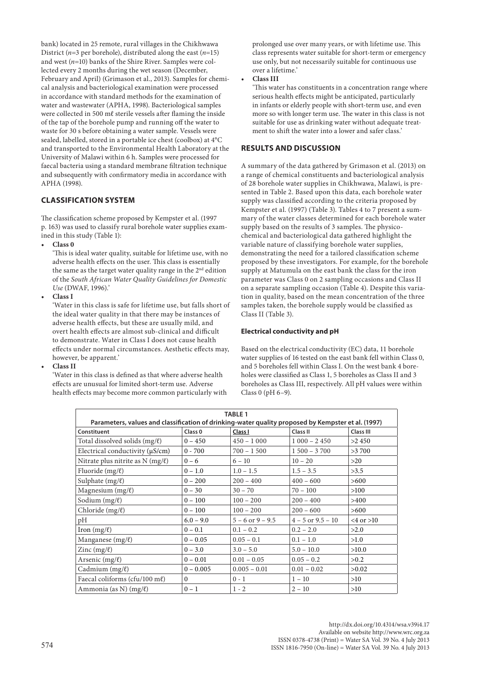bank) located in 25 remote, rural villages in the Chikhwawa District (*n*=3 per borehole), distributed along the east (*n*=15) and west (*n*=10) banks of the Shire River. Samples were collected every 2 months during the wet season (December, February and April) (Grimason et al., 2013). Samples for chemical analysis and bacteriological examination were processed in accordance with standard methods for the examination of water and wastewater (APHA, 1998). Bacteriological samples were collected in 500 mℓ sterile vessels after flaming the inside of the tap of the borehole pump and running off the water to waste for 30 s before obtaining a water sample. Vessels were sealed, labelled, stored in a portable ice chest (coolbox) at 4°C and transported to the Environmental Health Laboratory at the University of Malawi within 6 h. Samples were processed for faecal bacteria using a standard membrane filtration technique and subsequently with confirmatory media in accordance with APHA (1998).

# **CLASSIFICATION SYSTEM**

The classification scheme proposed by Kempster et al. (1997 p. 163) was used to classify rural borehole water supplies examined in this study (Table 1):

**• Class 0**

'This is ideal water quality, suitable for lifetime use, with no adverse health effects on the user. This class is essentially the same as the target water quality range in the  $2<sup>nd</sup>$  edition of the *South African Water Quality Guidelines for Domestic Use* (DWAF, 1996).'

**• Class I**

'Water in this class is safe for lifetime use, but falls short of the ideal water quality in that there may be instances of adverse health effects, but these are usually mild, and overt health effects are almost sub-clinical and difficult to demonstrate. Water in Class I does not cause health effects under normal circumstances. Aesthetic effects may, however, be apparent.'

**• Class II**

'Water in this class is defined as that where adverse health effects are unusual for limited short-term use. Adverse health effects may become more common particularly with prolonged use over many years, or with lifetime use. This class represents water suitable for short-term or emergency use only, but not necessarily suitable for continuous use over a lifetime.'

**• Class III**

'This water has constituents in a concentration range where serious health effects might be anticipated, particularly in infants or elderly people with short-term use, and even more so with longer term use. The water in this class is not suitable for use as drinking water without adequate treatment to shift the water into a lower and safer class.'

# **RESULTS AND DISCUSSION**

A summary of the data gathered by Grimason et al. (2013) on a range of chemical constituents and bacteriological analysis of 28 borehole water supplies in Chikhwawa, Malawi, is presented in Table 2. Based upon this data, each borehole water supply was classified according to the criteria proposed by Kempster et al. (1997) (Table 3). Tables 4 to 7 present a summary of the water classes determined for each borehole water supply based on the results of 3 samples. The physicochemical and bacteriological data gathered highlight the variable nature of classifying borehole water supplies, demonstrating the need for a tailored classification scheme proposed by these investigators. For example, for the borehole supply at Matumula on the east bank the class for the iron parameter was Class 0 on 2 sampling occasions and Class II on a separate sampling occasion (Table 4). Despite this variation in quality, based on the mean concentration of the three samples taken, the borehole supply would be classified as Class II (Table 3).

# **Electrical conductivity and pH**

Based on the electrical conductivity (EC) data, 11 borehole water supplies of 16 tested on the east bank fell within Class 0, and 5 boreholes fell within Class I. On the west bank 4 boreholes were classified as Class 1, 5 boreholes as Class II and 3 boreholes as Class III, respectively. All pH values were within Class 0 (pH 6–9).

|                                                                                                    |                    | <b>TABLE 1</b>       |                       |                                      |
|----------------------------------------------------------------------------------------------------|--------------------|----------------------|-----------------------|--------------------------------------|
| Parameters, values and classification of drinking-water quality proposed by Kempster et al. (1997) |                    |                      |                       |                                      |
| Constituent                                                                                        | Class <sub>0</sub> | Class I              | Class II              | <b>Class III</b>                     |
| Total dissolved solids $(mg/\ell)$                                                                 | $0 - 450$          | $450 - 1000$         | $1000 - 2450$         | >2450                                |
| Electrical conductivity $(\mu S/cm)$                                                               | $0 - 700$          | $700 - 1500$         | $1500 - 3700$         | >3 700                               |
| Nitrate plus nitrite as $N$ (mg/ $\ell$ )                                                          | $0 - 6$            | $6 - 10$             | $10 - 20$             | >20                                  |
| Fluoride $(mg/\ell)$                                                                               | $0 - 1.0$          | $1.0 - 1.5$          | $1.5 - 3.5$           | >3.5                                 |
| Sulphate $(mg/\ell)$                                                                               | $0 - 200$          | $200 - 400$          | $400 - 600$           | >600                                 |
| Magnesium $(mg/\ell)$                                                                              | $0 - 30$           | $30 - 70$            | $70 - 100$            | >100                                 |
| Sodium $(mg/\ell)$                                                                                 | $0 - 100$          | $100 - 200$          | $200 - 400$           | >400                                 |
| Chloride $(mg/\ell)$                                                                               | $0 - 100$          | $100 - 200$          | $200 - 600$           | >600                                 |
| pH                                                                                                 | $6.0 - 9.0$        | $5 - 6$ or $9 - 9.5$ | $4 - 5$ or $9.5 - 10$ | $\langle 4 \text{ or } > 10 \rangle$ |
| Iron $(mg/\ell)$                                                                                   | $0 - 0.1$          | $0.1 - 0.2$          | $0.2 - 2.0$           | >2.0                                 |
| Manganese $(mg/\ell)$                                                                              | $0 - 0.05$         | $0.05 - 0.1$         | $0.1 - 1.0$           | >1.0                                 |
| Zinc $(mg/\ell)$                                                                                   | $0 - 3.0$          | $3.0 - 5.0$          | $5.0 - 10.0$          | >10.0                                |
| Arsenic (mg/l)                                                                                     | $0 - 0.01$         | $0.01 - 0.05$        | $0.05 - 0.2$          | >0.2                                 |
| Cadmium $(mg/\ell)$                                                                                | $0 - 0.005$        | $0.005 - 0.01$       | $0.01 - 0.02$         | >0.02                                |
| Faecal coliforms (cfu/100 ml)                                                                      | $\Omega$           | $0 - 1$              | $1 - 10$              | >10                                  |
| Ammonia (as N) $(mg/\ell)$                                                                         | $0 - 1$            | $1 - 2$              | $2 - 10$              | >10                                  |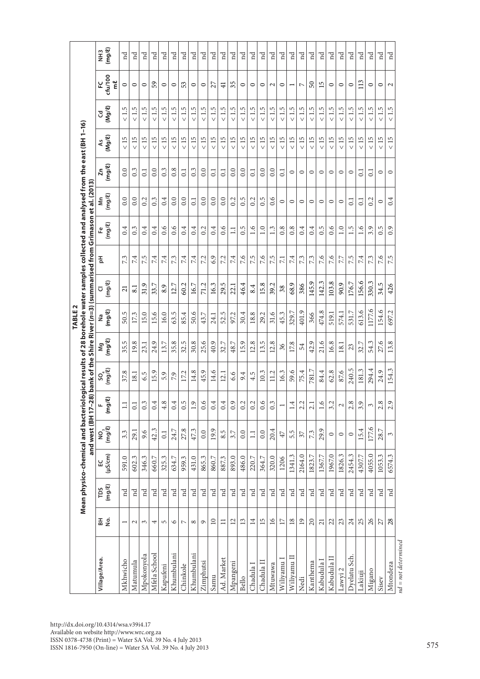| ⊣<br>$\vec{v}$<br>$\overline{\phantom{0}}$<br>$\overline{\phantom{0}}$<br>$\vee$<br>$\vee$<br>$\vee$<br>$\vee$<br>$\vee$<br>$\vee$<br>$\vee$<br>$\vee$<br>$\vee$<br>$\vee$<br>$(Mg/\ell)$<br>$<15$<br>15<br>15<br>15<br>15<br>< 15<br>$<15$<br>$<15$<br>$<15$<br>15<br>15<br>$<15\,$<br>15 <sub>2</sub><br>15<br>$<15$<br>15<br>rú<br>15<br>15<br>15<br>15<br>$<15$<br>15<br>15<br>15<br>15<br>15<br>ÅS<br>$\vee$<br>$\vee$<br>$\vee$<br>$\vee$<br>$\vee$<br>$\vee$<br>$\vee$<br>$\vee$<br>$\vee$<br>$\vee$<br>$\vee$<br>$\vee$<br>$\vee$<br>$\vee$<br>(mg/R)<br>0.0<br>0.0<br>0.8<br>0.0<br>0.0<br>0.0<br>0.0<br>0.0<br>0.3<br>$0.\overline{3}$<br>$0.\overline{3}$<br>Σn<br>$\overline{0}$ .<br>$\overline{0}$<br>$\Xi$<br>0.1<br>$\overline{0}$<br>$\overline{c}$<br>$\overline{c}$<br>$\Xi$<br>$\circ$<br>$\circ$<br>$\circ$<br>$\circ$<br>$\circ$<br>$\circ$<br>$\circ$<br>$\circ$<br>$(mg/\ell)$<br>0.0<br>0.5<br>0.5<br>0.6<br>0.0<br>0.0<br>$0.\overline{3}$<br>0.4<br>0.0<br>0.0<br>0.0<br>0.0<br>0.2<br>0.2<br>0.2<br>ξ<br>0.2<br>$\overline{C}$<br>$\overline{0.1}$<br>$\overline{c}$<br>$\circ$<br>$\circ$<br>$\circ$<br>$\circ$<br>$\circ$<br>$\circ$<br>$\circ$<br>$\circ$<br>and west (BH 17-28) bank of the Shire River (n=3) (summarised from Grimason<br>$(mg/\ell)$<br>0.6<br>0.6<br>0.4<br>0.6<br>1.6<br>1.5<br>1.6<br>0.4<br>0.4<br>0.4<br>0.4<br>0.4<br>0.2<br>0.5<br>1.3<br>0.8<br>0.4<br>0.5<br>0.6<br>$0.\overline{5}$<br>0.3<br>1.0<br>0.8<br>0.4<br>1.0<br>3.9<br>$\Xi$<br>6.9<br>7.6<br>7.5<br>7.6<br>7.5<br>7.6<br>7.6<br>7.6<br>7.3<br>7.5<br>7.2<br>7.2<br>$74$<br>7.3<br>7.3<br>7.5<br>7.3<br>74<br>7.4<br>7.4<br>7.3<br>7.4<br>7.4<br>7.4<br>7.4<br>玉<br>7.7<br>7.1<br>$(mg/\ell)$<br>156.6<br>145.9<br>142.3<br>103.8<br>176.7<br>16.3<br>29.5<br>15.8<br>68.9<br>90.9<br>34.5<br>60.2<br>46.4<br>12.7<br>16.7<br>71.2<br>39.2<br>31.9<br>33.7<br>386<br>22.1<br>8.9<br>8.4<br>330.<br>38<br>8.1<br>$\overline{c}$<br>⊽<br>1177.6<br>(mg/R)<br>613.6<br>154.6<br>401.9<br>474.8<br>531.7<br>52.5<br>329.7<br>50.5<br>50.6<br>31.6<br>45.3<br>15.6<br>63.5<br>97.2<br>30.4<br>18.8<br>574.1<br>15.0<br>16.0<br>85.4<br>43.7<br>29.2<br>519.1<br>17.3<br>24.1<br>366<br>å<br>$($ mg/ $\ell$<br>35.5<br>24.9<br>35.8<br>32.5<br>30.8<br>25.6<br>40.9<br>15.9<br>12.8<br>13.5<br>12.8<br>42.9<br>21.6<br>54.3<br>27.6<br>19.8<br>32.7<br>17.8<br>16.8<br>48.7<br>32.7<br>23.1<br>13.7<br>18.1<br>36<br>54<br>Μg<br>23<br>$(mg/\ell)$<br>240.5<br>294.4<br>781.7<br>S<br>84.4<br>62.8<br>24.9<br>45.9<br>14.6<br>10.3<br>59.6<br>37.8<br>15.9<br>14.8<br>11.2<br>16.3<br>75.4<br>87.6<br>17.2<br>12.1<br>18.1<br>6.6<br>4.5<br>6.5<br>5.9<br>7.9<br>9.4<br>င္တ<br>181<br>G)<br>0.5<br>0.6<br>4.8<br>u.<br>img)<br>$\Xi$<br>$\overline{c}$<br>$\ddot{\circ}$<br>$\ddot{0}$ :<br>$\ddot{0}$ .<br>$\ddot{5}$<br>$\ddot{\circ}$<br>$\ddot{0}$ :<br>$\overline{0}$<br>$\ddot{\circ}$<br>$\approx$<br>$\frac{6}{10}$<br>$\frac{3}{2}$<br>$\ddot{=}$<br>2.2<br>$\overline{c}$<br>$\frac{6}{10}$<br>3.2<br>2.8<br>3.9<br>2.8<br>$\mathcal{L}$<br>3<br>$\overline{ }$<br>$\frac{NO_3}{(mg/l)}$<br>177.6<br>42.3<br>20.4<br>15.4<br>27.8<br>47.3<br>19.9<br>29.9<br>24.7<br>28.7<br>8.5<br>29.1<br>9.6<br>0.0<br>0.0<br>$3.\overline{3}$<br>3.7<br>0.0<br>5.5<br>7.3<br>0.1<br>$\Xi$<br>$\mathfrak{Z}$<br>$47$<br>$\circ$<br>$\circ$<br>$\circ$<br>$(\mu$ S/cm $)$<br>2164.0<br>4055.0<br>1823.7<br>2454.3<br>1341.3<br>1967.0<br>1367.7<br>1826.3<br>4307.7<br>591.0<br>602.3<br>431.0<br>865.3<br>486.0<br>320.0<br>346.3<br>325.3<br>860.7<br>887.3<br>893.0<br>1206<br>660.7<br>634.7<br>959.3<br>220.7<br>364.7<br>1053.<br>닚<br>$(mg/\ell)$<br>TDS<br>$_{\rm nd}$<br>$_{\rm nd}$<br>$_{\rm nd}$<br>$_{\rm nd}$<br>$_{\rm nd}$<br>$\mathbf{H}$<br>$_{\rm nd}$<br>$_{\rm nd}$<br>$\mathbb{E}$<br>$_{\rm nd}$<br>$_{\rm nd}$<br>$_{\rm nd}$<br>F<br>$_{\rm nd}$<br>Бц<br>$_{\rm nd}$<br>$_{\rm nd}$<br>$_{\rm nd}$<br>$_{\rm nd}$<br>$_{\rm nd}$<br>$_{\rm nd}$<br>$_{\rm nd}$<br>$_{\rm nd}$<br>$_{\rm nd}$<br>F<br>$_{\rm nd}$<br>$_{\rm nd}$<br>품 흥<br>15<br>$\overline{16}$<br>26<br>$\supseteq$<br>$\overline{c}$<br>13<br>$\overline{14}$<br>18<br>$\overline{19}$<br>20<br>$\mathfrak{Z}$<br>23<br>24<br>25<br>$\overline{17}$<br>21<br>$\equiv$<br>27<br>6<br>$\circ$<br>$\overline{ }$<br>$\mathbf{C}$<br>$\mathfrak{S}$<br>4<br>5<br>$\overline{ }$<br>${}^{\circ}$ |              |  |  | Mean physico-chemical and bacteriological results of 28 borehole water samples collected and analysed from the east (BH 1–16) | <b>TABLE</b> |  | et al. (2013) |  |                   |                          |
|-----------------------------------------------------------------------------------------------------------------------------------------------------------------------------------------------------------------------------------------------------------------------------------------------------------------------------------------------------------------------------------------------------------------------------------------------------------------------------------------------------------------------------------------------------------------------------------------------------------------------------------------------------------------------------------------------------------------------------------------------------------------------------------------------------------------------------------------------------------------------------------------------------------------------------------------------------------------------------------------------------------------------------------------------------------------------------------------------------------------------------------------------------------------------------------------------------------------------------------------------------------------------------------------------------------------------------------------------------------------------------------------------------------------------------------------------------------------------------------------------------------------------------------------------------------------------------------------------------------------------------------------------------------------------------------------------------------------------------------------------------------------------------------------------------------------------------------------------------------------------------------------------------------------------------------------------------------------------------------------------------------------------------------------------------------------------------------------------------------------------------------------------------------------------------------------------------------------------------------------------------------------------------------------------------------------------------------------------------------------------------------------------------------------------------------------------------------------------------------------------------------------------------------------------------------------------------------------------------------------------------------------------------------------------------------------------------------------------------------------------------------------------------------------------------------------------------------------------------------------------------------------------------------------------------------------------------------------------------------------------------------------------------------------------------------------------------------------------------------------------------------------------------------------------------------------------------------------------------------------------------------------------------------------------------------------------------------------------------------------------------------------------------------------------------------------------------------------------------------------------------------------------------------------------------------------------------------------------------------------------------------------------------------------------------------------------------------------------------------------------------------------------------------------------------------------------------------------------------------------------------------------------------------------------------------------------------------------------------------------------------------------------------------------------------------------------------------------------------------------------------------------------------------------------------------------------------------------------------------------------------------------------------------------------------------------------------------------------------------------------------------------------------|--------------|--|--|-------------------------------------------------------------------------------------------------------------------------------|--------------|--|---------------|--|-------------------|--------------------------|
| Khumbulani<br>Mfela School<br>Mpokonyola<br>Mkhwicho<br>Matumula<br>Chinkole<br>Kapufeni                                                                                                                                                                                                                                                                                                                                                                                                                                                                                                                                                                                                                                                                                                                                                                                                                                                                                                                                                                                                                                                                                                                                                                                                                                                                                                                                                                                                                                                                                                                                                                                                                                                                                                                                                                                                                                                                                                                                                                                                                                                                                                                                                                                                                                                                                                                                                                                                                                                                                                                                                                                                                                                                                                                                                                                                                                                                                                                                                                                                                                                                                                                                                                                                                                                                                                                                                                                                                                                                                                                                                                                                                                                                                                                                                                                                                                                                                                                                                                                                                                                                                                                                                                                                                                                                                                            | Village/Area |  |  |                                                                                                                               |              |  |               |  | $(Mg/\ell)$<br>රි | ctu/100<br>ml<br>۲       |
|                                                                                                                                                                                                                                                                                                                                                                                                                                                                                                                                                                                                                                                                                                                                                                                                                                                                                                                                                                                                                                                                                                                                                                                                                                                                                                                                                                                                                                                                                                                                                                                                                                                                                                                                                                                                                                                                                                                                                                                                                                                                                                                                                                                                                                                                                                                                                                                                                                                                                                                                                                                                                                                                                                                                                                                                                                                                                                                                                                                                                                                                                                                                                                                                                                                                                                                                                                                                                                                                                                                                                                                                                                                                                                                                                                                                                                                                                                                                                                                                                                                                                                                                                                                                                                                                                                                                                                                                     |              |  |  |                                                                                                                               |              |  |               |  | $<1.5$            | $\circ$                  |
|                                                                                                                                                                                                                                                                                                                                                                                                                                                                                                                                                                                                                                                                                                                                                                                                                                                                                                                                                                                                                                                                                                                                                                                                                                                                                                                                                                                                                                                                                                                                                                                                                                                                                                                                                                                                                                                                                                                                                                                                                                                                                                                                                                                                                                                                                                                                                                                                                                                                                                                                                                                                                                                                                                                                                                                                                                                                                                                                                                                                                                                                                                                                                                                                                                                                                                                                                                                                                                                                                                                                                                                                                                                                                                                                                                                                                                                                                                                                                                                                                                                                                                                                                                                                                                                                                                                                                                                                     |              |  |  |                                                                                                                               |              |  |               |  | $<1.5$            | $\circ$                  |
|                                                                                                                                                                                                                                                                                                                                                                                                                                                                                                                                                                                                                                                                                                                                                                                                                                                                                                                                                                                                                                                                                                                                                                                                                                                                                                                                                                                                                                                                                                                                                                                                                                                                                                                                                                                                                                                                                                                                                                                                                                                                                                                                                                                                                                                                                                                                                                                                                                                                                                                                                                                                                                                                                                                                                                                                                                                                                                                                                                                                                                                                                                                                                                                                                                                                                                                                                                                                                                                                                                                                                                                                                                                                                                                                                                                                                                                                                                                                                                                                                                                                                                                                                                                                                                                                                                                                                                                                     |              |  |  |                                                                                                                               |              |  |               |  | w                 | $\circ$                  |
|                                                                                                                                                                                                                                                                                                                                                                                                                                                                                                                                                                                                                                                                                                                                                                                                                                                                                                                                                                                                                                                                                                                                                                                                                                                                                                                                                                                                                                                                                                                                                                                                                                                                                                                                                                                                                                                                                                                                                                                                                                                                                                                                                                                                                                                                                                                                                                                                                                                                                                                                                                                                                                                                                                                                                                                                                                                                                                                                                                                                                                                                                                                                                                                                                                                                                                                                                                                                                                                                                                                                                                                                                                                                                                                                                                                                                                                                                                                                                                                                                                                                                                                                                                                                                                                                                                                                                                                                     |              |  |  |                                                                                                                               |              |  |               |  | S                 | 59                       |
|                                                                                                                                                                                                                                                                                                                                                                                                                                                                                                                                                                                                                                                                                                                                                                                                                                                                                                                                                                                                                                                                                                                                                                                                                                                                                                                                                                                                                                                                                                                                                                                                                                                                                                                                                                                                                                                                                                                                                                                                                                                                                                                                                                                                                                                                                                                                                                                                                                                                                                                                                                                                                                                                                                                                                                                                                                                                                                                                                                                                                                                                                                                                                                                                                                                                                                                                                                                                                                                                                                                                                                                                                                                                                                                                                                                                                                                                                                                                                                                                                                                                                                                                                                                                                                                                                                                                                                                                     |              |  |  |                                                                                                                               |              |  |               |  | 5                 | $\circ$                  |
|                                                                                                                                                                                                                                                                                                                                                                                                                                                                                                                                                                                                                                                                                                                                                                                                                                                                                                                                                                                                                                                                                                                                                                                                                                                                                                                                                                                                                                                                                                                                                                                                                                                                                                                                                                                                                                                                                                                                                                                                                                                                                                                                                                                                                                                                                                                                                                                                                                                                                                                                                                                                                                                                                                                                                                                                                                                                                                                                                                                                                                                                                                                                                                                                                                                                                                                                                                                                                                                                                                                                                                                                                                                                                                                                                                                                                                                                                                                                                                                                                                                                                                                                                                                                                                                                                                                                                                                                     |              |  |  |                                                                                                                               |              |  |               |  | 1.5               | $\circ$                  |
|                                                                                                                                                                                                                                                                                                                                                                                                                                                                                                                                                                                                                                                                                                                                                                                                                                                                                                                                                                                                                                                                                                                                                                                                                                                                                                                                                                                                                                                                                                                                                                                                                                                                                                                                                                                                                                                                                                                                                                                                                                                                                                                                                                                                                                                                                                                                                                                                                                                                                                                                                                                                                                                                                                                                                                                                                                                                                                                                                                                                                                                                                                                                                                                                                                                                                                                                                                                                                                                                                                                                                                                                                                                                                                                                                                                                                                                                                                                                                                                                                                                                                                                                                                                                                                                                                                                                                                                                     |              |  |  |                                                                                                                               |              |  |               |  | 1.5               | 53                       |
| Ad. Market<br>Zimphutsi<br>Mpangeni<br>Chadula I<br>Samu<br>Bello                                                                                                                                                                                                                                                                                                                                                                                                                                                                                                                                                                                                                                                                                                                                                                                                                                                                                                                                                                                                                                                                                                                                                                                                                                                                                                                                                                                                                                                                                                                                                                                                                                                                                                                                                                                                                                                                                                                                                                                                                                                                                                                                                                                                                                                                                                                                                                                                                                                                                                                                                                                                                                                                                                                                                                                                                                                                                                                                                                                                                                                                                                                                                                                                                                                                                                                                                                                                                                                                                                                                                                                                                                                                                                                                                                                                                                                                                                                                                                                                                                                                                                                                                                                                                                                                                                                                   | Khumbulani   |  |  |                                                                                                                               |              |  |               |  | 1.5               | $\circ$                  |
|                                                                                                                                                                                                                                                                                                                                                                                                                                                                                                                                                                                                                                                                                                                                                                                                                                                                                                                                                                                                                                                                                                                                                                                                                                                                                                                                                                                                                                                                                                                                                                                                                                                                                                                                                                                                                                                                                                                                                                                                                                                                                                                                                                                                                                                                                                                                                                                                                                                                                                                                                                                                                                                                                                                                                                                                                                                                                                                                                                                                                                                                                                                                                                                                                                                                                                                                                                                                                                                                                                                                                                                                                                                                                                                                                                                                                                                                                                                                                                                                                                                                                                                                                                                                                                                                                                                                                                                                     |              |  |  |                                                                                                                               |              |  |               |  | $<1.5\,$          | $\circ$                  |
|                                                                                                                                                                                                                                                                                                                                                                                                                                                                                                                                                                                                                                                                                                                                                                                                                                                                                                                                                                                                                                                                                                                                                                                                                                                                                                                                                                                                                                                                                                                                                                                                                                                                                                                                                                                                                                                                                                                                                                                                                                                                                                                                                                                                                                                                                                                                                                                                                                                                                                                                                                                                                                                                                                                                                                                                                                                                                                                                                                                                                                                                                                                                                                                                                                                                                                                                                                                                                                                                                                                                                                                                                                                                                                                                                                                                                                                                                                                                                                                                                                                                                                                                                                                                                                                                                                                                                                                                     |              |  |  |                                                                                                                               |              |  |               |  | $<1.5$            | 27                       |
|                                                                                                                                                                                                                                                                                                                                                                                                                                                                                                                                                                                                                                                                                                                                                                                                                                                                                                                                                                                                                                                                                                                                                                                                                                                                                                                                                                                                                                                                                                                                                                                                                                                                                                                                                                                                                                                                                                                                                                                                                                                                                                                                                                                                                                                                                                                                                                                                                                                                                                                                                                                                                                                                                                                                                                                                                                                                                                                                                                                                                                                                                                                                                                                                                                                                                                                                                                                                                                                                                                                                                                                                                                                                                                                                                                                                                                                                                                                                                                                                                                                                                                                                                                                                                                                                                                                                                                                                     |              |  |  |                                                                                                                               |              |  |               |  | $<1.5$            | $\frac{1}{4}$            |
|                                                                                                                                                                                                                                                                                                                                                                                                                                                                                                                                                                                                                                                                                                                                                                                                                                                                                                                                                                                                                                                                                                                                                                                                                                                                                                                                                                                                                                                                                                                                                                                                                                                                                                                                                                                                                                                                                                                                                                                                                                                                                                                                                                                                                                                                                                                                                                                                                                                                                                                                                                                                                                                                                                                                                                                                                                                                                                                                                                                                                                                                                                                                                                                                                                                                                                                                                                                                                                                                                                                                                                                                                                                                                                                                                                                                                                                                                                                                                                                                                                                                                                                                                                                                                                                                                                                                                                                                     |              |  |  |                                                                                                                               |              |  |               |  | $<1.5$            | 35                       |
|                                                                                                                                                                                                                                                                                                                                                                                                                                                                                                                                                                                                                                                                                                                                                                                                                                                                                                                                                                                                                                                                                                                                                                                                                                                                                                                                                                                                                                                                                                                                                                                                                                                                                                                                                                                                                                                                                                                                                                                                                                                                                                                                                                                                                                                                                                                                                                                                                                                                                                                                                                                                                                                                                                                                                                                                                                                                                                                                                                                                                                                                                                                                                                                                                                                                                                                                                                                                                                                                                                                                                                                                                                                                                                                                                                                                                                                                                                                                                                                                                                                                                                                                                                                                                                                                                                                                                                                                     |              |  |  |                                                                                                                               |              |  |               |  | $<1.5$            | $\circ$                  |
|                                                                                                                                                                                                                                                                                                                                                                                                                                                                                                                                                                                                                                                                                                                                                                                                                                                                                                                                                                                                                                                                                                                                                                                                                                                                                                                                                                                                                                                                                                                                                                                                                                                                                                                                                                                                                                                                                                                                                                                                                                                                                                                                                                                                                                                                                                                                                                                                                                                                                                                                                                                                                                                                                                                                                                                                                                                                                                                                                                                                                                                                                                                                                                                                                                                                                                                                                                                                                                                                                                                                                                                                                                                                                                                                                                                                                                                                                                                                                                                                                                                                                                                                                                                                                                                                                                                                                                                                     |              |  |  |                                                                                                                               |              |  |               |  | $<1.5$            | $\circ$                  |
|                                                                                                                                                                                                                                                                                                                                                                                                                                                                                                                                                                                                                                                                                                                                                                                                                                                                                                                                                                                                                                                                                                                                                                                                                                                                                                                                                                                                                                                                                                                                                                                                                                                                                                                                                                                                                                                                                                                                                                                                                                                                                                                                                                                                                                                                                                                                                                                                                                                                                                                                                                                                                                                                                                                                                                                                                                                                                                                                                                                                                                                                                                                                                                                                                                                                                                                                                                                                                                                                                                                                                                                                                                                                                                                                                                                                                                                                                                                                                                                                                                                                                                                                                                                                                                                                                                                                                                                                     | Chadula II   |  |  |                                                                                                                               |              |  |               |  | $<1.5$            | $\circ$                  |
|                                                                                                                                                                                                                                                                                                                                                                                                                                                                                                                                                                                                                                                                                                                                                                                                                                                                                                                                                                                                                                                                                                                                                                                                                                                                                                                                                                                                                                                                                                                                                                                                                                                                                                                                                                                                                                                                                                                                                                                                                                                                                                                                                                                                                                                                                                                                                                                                                                                                                                                                                                                                                                                                                                                                                                                                                                                                                                                                                                                                                                                                                                                                                                                                                                                                                                                                                                                                                                                                                                                                                                                                                                                                                                                                                                                                                                                                                                                                                                                                                                                                                                                                                                                                                                                                                                                                                                                                     | Mtuwawa      |  |  |                                                                                                                               |              |  |               |  | $<1.5$            | $\mathbf{c}$             |
| Wiliyamu II<br>Nedi                                                                                                                                                                                                                                                                                                                                                                                                                                                                                                                                                                                                                                                                                                                                                                                                                                                                                                                                                                                                                                                                                                                                                                                                                                                                                                                                                                                                                                                                                                                                                                                                                                                                                                                                                                                                                                                                                                                                                                                                                                                                                                                                                                                                                                                                                                                                                                                                                                                                                                                                                                                                                                                                                                                                                                                                                                                                                                                                                                                                                                                                                                                                                                                                                                                                                                                                                                                                                                                                                                                                                                                                                                                                                                                                                                                                                                                                                                                                                                                                                                                                                                                                                                                                                                                                                                                                                                                 | Wiliyamu I   |  |  |                                                                                                                               |              |  |               |  | 1.5               | $\circ$                  |
|                                                                                                                                                                                                                                                                                                                                                                                                                                                                                                                                                                                                                                                                                                                                                                                                                                                                                                                                                                                                                                                                                                                                                                                                                                                                                                                                                                                                                                                                                                                                                                                                                                                                                                                                                                                                                                                                                                                                                                                                                                                                                                                                                                                                                                                                                                                                                                                                                                                                                                                                                                                                                                                                                                                                                                                                                                                                                                                                                                                                                                                                                                                                                                                                                                                                                                                                                                                                                                                                                                                                                                                                                                                                                                                                                                                                                                                                                                                                                                                                                                                                                                                                                                                                                                                                                                                                                                                                     |              |  |  |                                                                                                                               |              |  |               |  | 1.5               | $\overline{\phantom{0}}$ |
|                                                                                                                                                                                                                                                                                                                                                                                                                                                                                                                                                                                                                                                                                                                                                                                                                                                                                                                                                                                                                                                                                                                                                                                                                                                                                                                                                                                                                                                                                                                                                                                                                                                                                                                                                                                                                                                                                                                                                                                                                                                                                                                                                                                                                                                                                                                                                                                                                                                                                                                                                                                                                                                                                                                                                                                                                                                                                                                                                                                                                                                                                                                                                                                                                                                                                                                                                                                                                                                                                                                                                                                                                                                                                                                                                                                                                                                                                                                                                                                                                                                                                                                                                                                                                                                                                                                                                                                                     |              |  |  |                                                                                                                               |              |  |               |  | $<1.5$            | $\overline{ }$           |
|                                                                                                                                                                                                                                                                                                                                                                                                                                                                                                                                                                                                                                                                                                                                                                                                                                                                                                                                                                                                                                                                                                                                                                                                                                                                                                                                                                                                                                                                                                                                                                                                                                                                                                                                                                                                                                                                                                                                                                                                                                                                                                                                                                                                                                                                                                                                                                                                                                                                                                                                                                                                                                                                                                                                                                                                                                                                                                                                                                                                                                                                                                                                                                                                                                                                                                                                                                                                                                                                                                                                                                                                                                                                                                                                                                                                                                                                                                                                                                                                                                                                                                                                                                                                                                                                                                                                                                                                     | Kanthema     |  |  |                                                                                                                               |              |  |               |  | $<1.5$            | $50\,$                   |
|                                                                                                                                                                                                                                                                                                                                                                                                                                                                                                                                                                                                                                                                                                                                                                                                                                                                                                                                                                                                                                                                                                                                                                                                                                                                                                                                                                                                                                                                                                                                                                                                                                                                                                                                                                                                                                                                                                                                                                                                                                                                                                                                                                                                                                                                                                                                                                                                                                                                                                                                                                                                                                                                                                                                                                                                                                                                                                                                                                                                                                                                                                                                                                                                                                                                                                                                                                                                                                                                                                                                                                                                                                                                                                                                                                                                                                                                                                                                                                                                                                                                                                                                                                                                                                                                                                                                                                                                     | Kabudula I   |  |  |                                                                                                                               |              |  |               |  | $<1.5$            | 15                       |
| Dyelatu Sch<br>Migano<br>Lawyi 2<br>Lakiuji<br>Sisev                                                                                                                                                                                                                                                                                                                                                                                                                                                                                                                                                                                                                                                                                                                                                                                                                                                                                                                                                                                                                                                                                                                                                                                                                                                                                                                                                                                                                                                                                                                                                                                                                                                                                                                                                                                                                                                                                                                                                                                                                                                                                                                                                                                                                                                                                                                                                                                                                                                                                                                                                                                                                                                                                                                                                                                                                                                                                                                                                                                                                                                                                                                                                                                                                                                                                                                                                                                                                                                                                                                                                                                                                                                                                                                                                                                                                                                                                                                                                                                                                                                                                                                                                                                                                                                                                                                                                | Kabudula II  |  |  |                                                                                                                               |              |  |               |  | $<1.5$            | $\circ$                  |
|                                                                                                                                                                                                                                                                                                                                                                                                                                                                                                                                                                                                                                                                                                                                                                                                                                                                                                                                                                                                                                                                                                                                                                                                                                                                                                                                                                                                                                                                                                                                                                                                                                                                                                                                                                                                                                                                                                                                                                                                                                                                                                                                                                                                                                                                                                                                                                                                                                                                                                                                                                                                                                                                                                                                                                                                                                                                                                                                                                                                                                                                                                                                                                                                                                                                                                                                                                                                                                                                                                                                                                                                                                                                                                                                                                                                                                                                                                                                                                                                                                                                                                                                                                                                                                                                                                                                                                                                     |              |  |  |                                                                                                                               |              |  |               |  | $<1.5$            | $\circ$                  |
|                                                                                                                                                                                                                                                                                                                                                                                                                                                                                                                                                                                                                                                                                                                                                                                                                                                                                                                                                                                                                                                                                                                                                                                                                                                                                                                                                                                                                                                                                                                                                                                                                                                                                                                                                                                                                                                                                                                                                                                                                                                                                                                                                                                                                                                                                                                                                                                                                                                                                                                                                                                                                                                                                                                                                                                                                                                                                                                                                                                                                                                                                                                                                                                                                                                                                                                                                                                                                                                                                                                                                                                                                                                                                                                                                                                                                                                                                                                                                                                                                                                                                                                                                                                                                                                                                                                                                                                                     |              |  |  |                                                                                                                               |              |  |               |  | $<1.5$            | $\circ$                  |
|                                                                                                                                                                                                                                                                                                                                                                                                                                                                                                                                                                                                                                                                                                                                                                                                                                                                                                                                                                                                                                                                                                                                                                                                                                                                                                                                                                                                                                                                                                                                                                                                                                                                                                                                                                                                                                                                                                                                                                                                                                                                                                                                                                                                                                                                                                                                                                                                                                                                                                                                                                                                                                                                                                                                                                                                                                                                                                                                                                                                                                                                                                                                                                                                                                                                                                                                                                                                                                                                                                                                                                                                                                                                                                                                                                                                                                                                                                                                                                                                                                                                                                                                                                                                                                                                                                                                                                                                     |              |  |  |                                                                                                                               |              |  |               |  | 5                 | 113                      |
|                                                                                                                                                                                                                                                                                                                                                                                                                                                                                                                                                                                                                                                                                                                                                                                                                                                                                                                                                                                                                                                                                                                                                                                                                                                                                                                                                                                                                                                                                                                                                                                                                                                                                                                                                                                                                                                                                                                                                                                                                                                                                                                                                                                                                                                                                                                                                                                                                                                                                                                                                                                                                                                                                                                                                                                                                                                                                                                                                                                                                                                                                                                                                                                                                                                                                                                                                                                                                                                                                                                                                                                                                                                                                                                                                                                                                                                                                                                                                                                                                                                                                                                                                                                                                                                                                                                                                                                                     |              |  |  |                                                                                                                               |              |  |               |  | 5                 | $\circ$                  |
|                                                                                                                                                                                                                                                                                                                                                                                                                                                                                                                                                                                                                                                                                                                                                                                                                                                                                                                                                                                                                                                                                                                                                                                                                                                                                                                                                                                                                                                                                                                                                                                                                                                                                                                                                                                                                                                                                                                                                                                                                                                                                                                                                                                                                                                                                                                                                                                                                                                                                                                                                                                                                                                                                                                                                                                                                                                                                                                                                                                                                                                                                                                                                                                                                                                                                                                                                                                                                                                                                                                                                                                                                                                                                                                                                                                                                                                                                                                                                                                                                                                                                                                                                                                                                                                                                                                                                                                                     |              |  |  |                                                                                                                               |              |  |               |  | 5                 | $\circ$                  |
| $\vee$<br>15<br>$\vee$<br>$\circ$<br>0.4<br>0.9<br>7.5<br>426<br>697.2<br>13.8<br>154.3<br>2.9<br>3<br>6574.3<br>$_{\rm nd}$<br>28<br>Mtondeza                                                                                                                                                                                                                                                                                                                                                                                                                                                                                                                                                                                                                                                                                                                                                                                                                                                                                                                                                                                                                                                                                                                                                                                                                                                                                                                                                                                                                                                                                                                                                                                                                                                                                                                                                                                                                                                                                                                                                                                                                                                                                                                                                                                                                                                                                                                                                                                                                                                                                                                                                                                                                                                                                                                                                                                                                                                                                                                                                                                                                                                                                                                                                                                                                                                                                                                                                                                                                                                                                                                                                                                                                                                                                                                                                                                                                                                                                                                                                                                                                                                                                                                                                                                                                                                      |              |  |  |                                                                                                                               |              |  |               |  | 1.5               | $\mathbf{c}$             |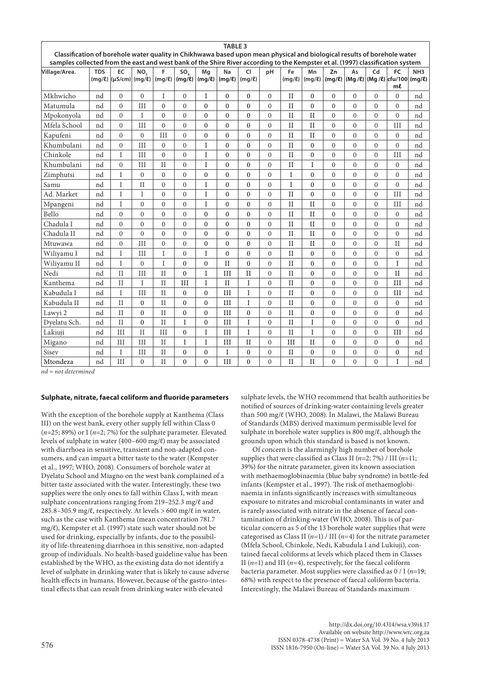|                                                                                                                                                                                                                                                           |            |                                         |              |                  |                   |                   | <b>TABLE 3</b>   |                  |                  |                   |                   |                   |                  |                |                                                                |                 |
|-----------------------------------------------------------------------------------------------------------------------------------------------------------------------------------------------------------------------------------------------------------|------------|-----------------------------------------|--------------|------------------|-------------------|-------------------|------------------|------------------|------------------|-------------------|-------------------|-------------------|------------------|----------------|----------------------------------------------------------------|-----------------|
| Classification of borehole water quality in Chikhwawa based upon mean physical and biological results of borehole water<br>samples collected from the east and west bank of the Shire River according to the Kempster et al. (1997) classification system |            |                                         |              |                  |                   |                   |                  |                  |                  |                   |                   |                   |                  |                |                                                                |                 |
| Village/Area.                                                                                                                                                                                                                                             | <b>TDS</b> | EC<br>$(mg/\ell)$ (µS/cm) (mg/ $\ell$ ) | NO.          | F<br>$(mg/\ell)$ | SO<br>$(mq/\ell)$ | Mq<br>$(mg/\ell)$ | Na<br>(mq/l)     | CI<br>(mq/l)     | pH               | Fe<br>$(mg/\ell)$ | Mn<br>$(mg/\ell)$ | Zn<br>$(mg/\ell)$ | As               | Cd             | FC<br>$(Mq / \ell)$ (Mg / $\ell$ ) cfu/100 (mg/ $\ell$ )<br>ml | NH <sub>3</sub> |
| Mkhwicho                                                                                                                                                                                                                                                  | nd         | $\theta$                                | $\theta$     | I                | $\theta$          | $\mathbf I$       | $\theta$         | $\overline{0}$   | $\Omega$         | $\rm II$          | $\Omega$          | $\mathbf{0}$      | $\mathbf{0}$     | $\Omega$       | $\theta$                                                       | nd              |
| Matumula                                                                                                                                                                                                                                                  | nd         | $\theta$                                | III          | $\theta$         | $\theta$          | $\theta$          | $\theta$         | $\overline{0}$   | $\mathbf{0}$     | II                | $\mathbf{0}$      | $\mathbf{0}$      | $\overline{0}$   | $\theta$       | $\theta$                                                       | nd              |
| Mpokonyola                                                                                                                                                                                                                                                | nd         | $\Omega$                                | $\mathbf I$  | $\theta$         | $\theta$          | $\Omega$          | $\theta$         | $\overline{0}$   | $\mathbf{0}$     | II                | II                | $\mathbf{0}$      | $\mathbf{0}$     | $\mathbf{0}$   | $\theta$                                                       | nd              |
| Mfela School                                                                                                                                                                                                                                              | nd         | $\theta$                                | III          | $\theta$         | $\theta$          | $\theta$          | $\mathbf{0}$     | $\overline{0}$   | $\mathbf{0}$     | II                | $_{II}$           | $\mathbf{0}$      | $\mathbf{0}$     | $\overline{0}$ | III                                                            | nd              |
| Kapufeni                                                                                                                                                                                                                                                  | nd         | $\theta$                                | $\theta$     | III              | $\theta$          | $\theta$          | $\theta$         | $\overline{0}$   | $\overline{0}$   | II                | II                | $\overline{0}$    | $\mathbf{0}$     | $\mathbf{0}$   | $\theta$                                                       | nd              |
| Khumbulani                                                                                                                                                                                                                                                | nd         | $\theta$                                | III          | $\theta$         | $\theta$          | I                 | $\theta$         | $\overline{0}$   | $\mathbf{0}$     | II                | $\theta$          | $\mathbf{0}$      | $\mathbf{0}$     | $\theta$       | $\theta$                                                       | nd              |
| Chinkole                                                                                                                                                                                                                                                  | nd         | I                                       | III          | $\mathbf{0}$     | $\mathbf{0}$      | I                 | $\mathbf{0}$     | $\mathbf{0}$     | $\mathbf{0}$     | II                | $\boldsymbol{0}$  | $\boldsymbol{0}$  | $\boldsymbol{0}$ | $\overline{0}$ | III                                                            | nd              |
| Khumbulani                                                                                                                                                                                                                                                | nd         | $\theta$                                | III          | $\mathbf{I}$     | $\theta$          | I                 | $\mathbf{0}$     | $\overline{0}$   | $\mathbf{0}$     | II                | $\rm I$           | $\mathbf{0}$      | $\mathbf{0}$     | $\theta$       | $\theta$                                                       | nd              |
| Zimphutsi                                                                                                                                                                                                                                                 | nd         | I                                       | $\mathbf{0}$ | $\mathbf{0}$     | $\mathbf{0}$      | $\mathbf{0}$      | $\boldsymbol{0}$ | $\boldsymbol{0}$ | $\boldsymbol{0}$ | I                 | $\boldsymbol{0}$  | $\mathbf{0}$      | $\mathbf{0}$     | $\mathbf{0}$   | $\mathbf{0}$                                                   | nd              |
| Samu                                                                                                                                                                                                                                                      | nd         | Ī                                       | $\mathbf{H}$ | $\theta$         | $\theta$          | $\mathbf{I}$      | $\theta$         | $\overline{0}$   | $\mathbf{0}$     | $\mathbf I$       | $\mathbf{0}$      | $\mathbf{0}$      | $\theta$         | $\theta$       | $\theta$                                                       | nd              |
| Ad. Market                                                                                                                                                                                                                                                | nd         | I                                       | $\mathbf I$  | $\theta$         | $\mathbf{0}$      | $\mathbf I$       | $\boldsymbol{0}$ | $\overline{0}$   | $\mathbf{0}$     | II                | $\boldsymbol{0}$  | $\boldsymbol{0}$  | $\boldsymbol{0}$ | $\mathbf{0}$   | III                                                            | nd              |
| Mpangeni                                                                                                                                                                                                                                                  | nd         | Ī                                       | $\theta$     | $\theta$         | $\theta$          | $\mathbf I$       | $\theta$         | $\overline{0}$   | $\mathbf{0}$     | II                | $\rm II$          | $\mathbf{0}$      | $\mathbf{0}$     | $\theta$       | III                                                            | nd              |
| Bello                                                                                                                                                                                                                                                     | nd         | $\theta$                                | $\theta$     | $\theta$         | $\mathbf{0}$      | $\theta$          | $\mathbf{0}$     | $\overline{0}$   | $\overline{0}$   | $\mathbf{I}$      | $\mathbf{I}$      | $\mathbf{0}$      | $\mathbf{0}$     | $\overline{0}$ | $\mathbf{0}$                                                   | nd              |
| Chadula I                                                                                                                                                                                                                                                 | nd         | $\Omega$                                | $\theta$     | $\theta$         | $\theta$          | $\Omega$          | $\mathbf{0}$     | $\overline{0}$   | $\mathbf{0}$     | II                | II                | $\boldsymbol{0}$  | $\mathbf{0}$     | $\mathbf{0}$   | $\theta$                                                       | nd              |
| Chadula II                                                                                                                                                                                                                                                | nd         | $\theta$                                | $\theta$     | $\theta$         | $\mathbf{0}$      | $\theta$          | $\theta$         | $\overline{0}$   | $\overline{0}$   | II                | II                | $\mathbf{0}$      | $\mathbf{0}$     | $\overline{0}$ | $\overline{0}$                                                 | nd              |
| Mtuwawa                                                                                                                                                                                                                                                   | nd         | $\theta$                                | III          | $\theta$         | $\theta$          | $\Omega$          | $\mathbf{0}$     | $\overline{0}$   | $\mathbf{0}$     | II                | II                | $\mathbf{0}$      | $\mathbf{0}$     | $\theta$       | $\rm II$                                                       | nd              |
| Wiliyamu I                                                                                                                                                                                                                                                | nd         | Ť                                       | III          | I                | $\theta$          | I                 | $\theta$         | $\overline{0}$   | $\overline{0}$   | II                | $\mathbf{0}$      | $\overline{0}$    | $\overline{0}$   | $\theta$       | $\theta$                                                       | nd              |
| Wiliyamu II                                                                                                                                                                                                                                               | nd         | Ī                                       | $\theta$     | I                | $\theta$          | $\Omega$          | $\mathbf{H}$     | $\overline{0}$   | $\mathbf{0}$     | II                | $\mathbf{0}$      | $\mathbf{0}$      | $\mathbf{0}$     | $\theta$       | I                                                              | nd              |
| Nedi                                                                                                                                                                                                                                                      | nd         | $\mathbf{H}$                            | III          | $\mathbf{H}$     | $\theta$          | I                 | III              | $\rm II$         | $\overline{0}$   | II                | $\mathbf{0}$      | $\mathbf{0}$      | $\mathbf{0}$     | $\mathbf{0}$   | $\rm II$                                                       | nd              |
| Kanthema                                                                                                                                                                                                                                                  | nd         | II                                      | $\mathbf I$  | $\mathbf{I}$     | III               | $\mathbf I$       | $\rm II$         | I                | $\mathbf{0}$     | II                | $\mathbf{0}$      | $\mathbf{0}$      | $\mathbf{0}$     | $\mathbf{0}$   | III                                                            | nd              |
| Kabudula I                                                                                                                                                                                                                                                | nd         | Ī                                       | III          | $\mathbf{H}$     | $\theta$          | $\theta$          | III              | $\mathbf I$      | $\mathbf{0}$     | II                | $\mathbf{0}$      | $\mathbf{0}$      | $\overline{0}$   | $\theta$       | III                                                            | nd              |
| Kabudula II                                                                                                                                                                                                                                               | nd         | $\rm II$                                | $\theta$     | $\mathbf{I}$     | $\mathbf{0}$      | $\Omega$          | III              | I                | $\mathbf{0}$     | $\rm II$          | $\mathbf{0}$      | $\mathbf{0}$      | $\mathbf{0}$     | $\overline{0}$ | $\mathbf{0}$                                                   | nd              |
| Lawyi 2                                                                                                                                                                                                                                                   | nd         | II                                      | $\mathbf{0}$ | $\mathbf{I}$     | $\mathbf{0}$      | $\mathbf{0}$      | III              | $\overline{0}$   | $\mathbf{0}$     | II                | $\boldsymbol{0}$  | $\mathbf{0}$      | $\mathbf{0}$     | $\mathbf{0}$   | $\mathbf{0}$                                                   | nd              |
| Dyelatu Sch.                                                                                                                                                                                                                                              | nd         | II                                      | $\theta$     | $\mathbf{I}$     | I                 | $\Omega$          | III              | $\mathbf I$      | $\mathbf{0}$     | II                | I                 | $\mathbf{0}$      | $\mathbf{0}$     | $\theta$       | $\theta$                                                       | nd              |
| Lakiuji                                                                                                                                                                                                                                                   | nd         | III                                     | II           | III              | $\theta$          | $\mathbf I$       | III              | $\mathbf{I}$     | $\mathbf{0}$     | $\rm II$          | $\bar{I}$         | $\mathbf{0}$      | $\theta$         | $\theta$       | III                                                            | nd              |
| Migano                                                                                                                                                                                                                                                    | nd         | III                                     | III          | II               | T                 | T                 | III              | $\mathbf{I}$     | $\Omega$         | III               | II                | $\mathbf{0}$      | $\theta$         | $\theta$       | $\theta$                                                       | nd              |
| Sisev                                                                                                                                                                                                                                                     | nd         | I                                       | III          | $\rm II$         | $\theta$          | $\mathbf{0}$      | I                | $\overline{0}$   | $\overline{0}$   | $_{\rm II}$       | $\boldsymbol{0}$  | $\boldsymbol{0}$  | $\boldsymbol{0}$ | $\mathbf{0}$   | $\mathbf{0}$                                                   | nd              |
| Mtondeza                                                                                                                                                                                                                                                  | nd         | III                                     | $\theta$     | $\mathbf{I}$     | $\theta$          | $\Omega$          | III              | $\overline{0}$   | $\theta$         | II                | II                | $\theta$          | $\mathbf{0}$     | $\theta$       | I                                                              | nd              |

*nd = not determined*

### **Sulphate, nitrate, faecal coliform and fluoride parameters**

With the exception of the borehole supply at Kanthema (Class III) on the west bank, every other supply fell within Class 0 (*n*=25; 89%) or I (*n*=2; 7%) for the sulphate parameter. Elevated levels of sulphate in water (400–600 mg/ℓ) may be associated with diarrhoea in sensitive, transient and non-adapted consumers, and can impart a bitter taste to the water (Kempster et al., 1997; WHO, 2008). Consumers of borehole water at Dyelatu School and Miagno on the west bank complained of a bitter taste associated with the water. Interestingly, these two supplies were the only ones to fall within Class I, with mean sulphate concentrations ranging from 219–252.3 mg/ℓ and 285.8–305.9 mg/ $\ell$ , respectively. At levels > 600 mg/ $\ell$  in water, such as the case with Kanthema (mean concentration 781.7 mg/ℓ), Kempster et al. (1997) state such water should not be used for drinking, especially by infants, due to the possibility of life-threatening diarrhoea in this sensitive, non-adapted group of individuals. No health-based guideline value has been established by the WHO, as the existing data do not identify a level of sulphate in drinking water that is likely to cause adverse health effects in humans. However, because of the gastro-intestinal effects that can result from drinking water with elevated

sulphate levels, the WHO recommend that health authorities be notified of sources of drinking-water containing levels greater than 500 mg/ℓ (WHO, 2008). In Malawi, the Malawi Bureau of Standards (MBS) derived maximum permissible level for sulphate in borehole water supplies is 800 mg/ℓ, although the grounds upon which this standard is based is not known.

Of concern is the alarmingly high number of borehole supplies that were classified as Class II ( $n=2$ ; 7%) / III ( $n=11$ ; 39%) for the nitrate parameter, given its known association with methaemoglobinaemia (blue baby syndrome) in bottle-fed infants (Kempster et al., 1997). The risk of methaemoglobinaemia in infants significantly increases with simultaneous exposure to nitrates and microbial contaminants in water and is rarely associated with nitrate in the absence of faecal contamination of drinking-water (WHO, 2008). This is of particular concern as 5 of the 13 borehole water supplies that were categorised as Class II (*n*=1) / III (*n*=4) for the nitrate parameter (Mfela School, Chinkole, Nedi, Kabudula I and Lukiuji), contained faecal coliforms at levels which placed them in Classes II  $(n=1)$  and III  $(n=4)$ , respectively, for the faecal coliform bacteria parameter. Most supplies were classified as 0 / I (*n*=19; 68%) with respect to the presence of faecal coliform bacteria. Interestingly, the Malawi Bureau of Standards maximum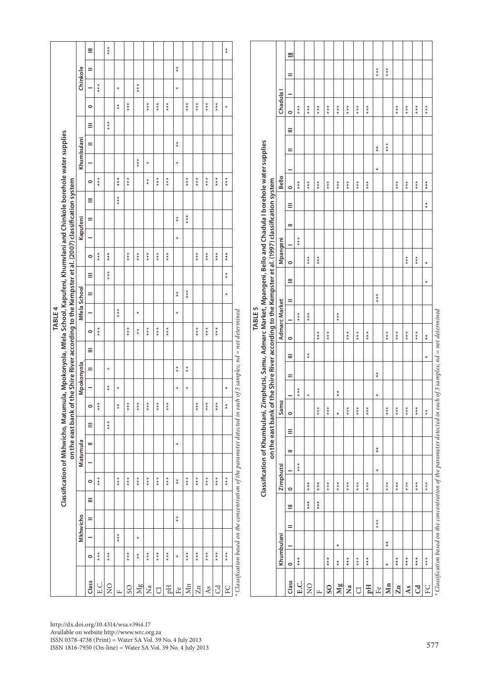|                       |                                                                                                                 |                           |                           |         |                                             | Classification of Mkhwicho, Matumul                                                                                 |         |                                              |                                             |                           |                                     |                    |                                        | TABLE4                                 |                                        |                | on the east bank of the Shire River according to the Kempster et al. (2007) classification system |          |                                        |                           | ia, Mpokonyola, Mfela School, Kapufeni, Khumvlani and Chinkole borehole water supplies |                                             |                    |                                        |                           |                                             |                          |
|-----------------------|-----------------------------------------------------------------------------------------------------------------|---------------------------|---------------------------|---------|---------------------------------------------|---------------------------------------------------------------------------------------------------------------------|---------|----------------------------------------------|---------------------------------------------|---------------------------|-------------------------------------|--------------------|----------------------------------------|----------------------------------------|----------------------------------------|----------------|---------------------------------------------------------------------------------------------------|----------|----------------------------------------|---------------------------|----------------------------------------------------------------------------------------|---------------------------------------------|--------------------|----------------------------------------|---------------------------|---------------------------------------------|--------------------------|
|                       |                                                                                                                 | Mkhwicho                  |                           |         |                                             | Matumula                                                                                                            |         |                                              |                                             | Mpokonyola                |                                     |                    |                                        | Mfela School                           |                                        |                |                                                                                                   | Kapufeni |                                        |                           |                                                                                        | Khumbulani                                  |                    |                                        |                           | Chinkole                                    |                          |
| Class                 | $\circ$                                                                                                         |                           | =                         | Ξ       | $\circ$                                     |                                                                                                                     | =       | Ξ                                            | $\circ$                                     |                           | =                                   | Ξ                  | $\circ$                                |                                        | Ξ                                      | Ξ              | $\circ$                                                                                           |          | =                                      | Ξ                         | $\circ$                                                                                |                                             | Ξ<br>$=$           | $\circ$                                |                           | =                                           | Ξ                        |
| E.C.                  | $\stackrel{\star}{\scriptscriptstyle \star}$                                                                    |                           |                           |         | $\stackrel{\star}{\ast}$                    |                                                                                                                     |         |                                              | $\stackrel{\star}{\star}$                   |                           |                                     |                    | $*_{*}$                                |                                        |                                        |                | $*_{*}$                                                                                           |          |                                        |                           | $*_{*}$                                                                                |                                             |                    |                                        | $\stackrel{\star}{\star}$ |                                             |                          |
| $\frac{1}{2}$         | $\star\star$                                                                                                    |                           |                           |         |                                             |                                                                                                                     |         | $\stackrel{\star}{\scriptscriptstyle \star}$ |                                             | $\stackrel{\star}{\star}$ | $\star$                             |                    |                                        |                                        |                                        | $\star\star$   | $\stackrel{\star}{\star}$                                                                         |          |                                        |                           |                                                                                        |                                             | $\star\star$       |                                        |                           |                                             | $\star\star$             |
| $\mathbf{L}$          |                                                                                                                 | $\stackrel{\star}{\star}$ |                           |         | $\stackrel{\star}{\star}$                   |                                                                                                                     |         |                                              | $_\star^\star$                              | $^{\star}$                |                                     |                    |                                        | $\stackrel{\star}{\ast}$               |                                        |                |                                                                                                   |          |                                        | $\stackrel{\star}{\ast}$  | $\stackrel{\star}{\star}$                                                              |                                             |                    | $\overset{\star}{\star}$               | $\star$                   |                                             |                          |
| $\rm{SO}$             | $\star\star$                                                                                                    |                           |                           |         | $\stackrel{\star}{\star}$                   |                                                                                                                     |         |                                              | $\stackrel{\star}{\star}$                   |                           |                                     |                    | $\stackrel{\star}{\star}$              |                                        |                                        |                | $\stackrel{\star}{\star}$                                                                         |          |                                        |                           | $\stackrel{\star}{\star}$                                                              |                                             |                    | $\star\star$                           |                           |                                             |                          |
| Mg                    | $_{\star}^{\star}$                                                                                              | $\star$                   |                           |         | $\stackrel{\star}{\star}$                   |                                                                                                                     |         |                                              | $\stackrel{\star}{\ast}$                    |                           |                                     |                    | $_{\star}^{\star}$                     | $^{\star}$                             |                                        |                | $\star\star$                                                                                      |          |                                        |                           |                                                                                        | $* +$                                       |                    |                                        | $*_{*}$                   |                                             |                          |
| $\mathbf{z}$          | $\star\star$                                                                                                    |                           |                           |         | $\star\star$                                |                                                                                                                     |         |                                              | $\stackrel{\star}{\star}$                   |                           |                                     |                    | $\stackrel{\star}{\star}$              |                                        |                                        |                | $\underset{\star}{\star}$                                                                         |          |                                        |                           | $_{\star}^{\star}$                                                                     | $^{\star}$                                  |                    | $\stackrel{\star}{\star}$              |                           |                                             |                          |
| $\overline{\bigcirc}$ | $\stackrel{\star}{\star}$                                                                                       |                           |                           |         | $\stackrel{\star}{\underset{\star}{\star}}$ |                                                                                                                     |         |                                              | $\stackrel{\star}{\underset{\star}{\star}}$ |                           |                                     |                    | $\stackrel{\star}{\star}$              |                                        |                                        |                | $\stackrel{\star}{\star}$                                                                         |          |                                        |                           | $\stackrel{\star}{\star}$                                                              |                                             |                    | $\stackrel{\star}{\star}$              |                           |                                             |                          |
| Eq                    | $\stackrel{\star}{\star}$                                                                                       |                           |                           |         | $\underset{\star}{\star}$                   |                                                                                                                     |         |                                              | $\stackrel{\star}{\star}$                   |                           |                                     |                    | $\stackrel{\star}{\star}$              |                                        |                                        |                | $\stackrel{\star}{\star}$                                                                         |          |                                        |                           | $\stackrel{\star}{\star}$                                                              |                                             |                    | $\stackrel{\star}{\star}$              |                           |                                             |                          |
| Ŀ٩                    | $\star$                                                                                                         |                           | $\stackrel{\star}{\star}$ |         | $^\star_\star$                              |                                                                                                                     | $\star$ |                                              |                                             | $\star$                   | $\stackrel{\star}{\star}$           |                    |                                        | $\star$                                | $_{\star}^{\star}$                     |                |                                                                                                   | $\star$  | $_{\star}^{\star}$                     |                           |                                                                                        | $\star$                                     | $_{\star}^{\star}$ |                                        | $\star$                   | $\stackrel{\star}{\star}$                   |                          |
| Mn                    | $\stackrel{\star}{\star}$                                                                                       |                           |                           |         | $\stackrel{\star}{\underset{\star}{\star}}$ |                                                                                                                     |         |                                              |                                             | $\star$                   | $_{\star}^{\star}$                  |                    |                                        |                                        | $\stackrel{\star}{\underset{\star}{}}$ |                |                                                                                                   |          | $\stackrel{\star}{\underset{\star}{}}$ |                           | $\stackrel{\star}{\star}$                                                              |                                             |                    | $\stackrel{\star}{\star}$              |                           |                                             |                          |
| Zn                    | $\stackrel{\star}{\underset{\star}{\star}}$                                                                     |                           |                           |         | $\stackrel{\star}{\star}$                   |                                                                                                                     |         |                                              | $\stackrel{\star}{\underset{\star}{\star}}$ |                           |                                     |                    | $\stackrel{\star}{\star}$              |                                        |                                        |                | $\stackrel{\star}{\star}$                                                                         |          |                                        |                           | $\stackrel{\star}{\star}$                                                              |                                             |                    | $\underset{\star}{\star}$              |                           |                                             |                          |
| As                    | $\stackrel{\star}{\underset{\star}{\star}}$                                                                     |                           |                           |         | $\star\star$                                |                                                                                                                     |         |                                              | $\stackrel{\star}{\star}$                   |                           |                                     |                    | $*_{*}$                                |                                        |                                        |                | $\stackrel{\star}{\star}$                                                                         |          |                                        |                           | $\star\star$                                                                           |                                             |                    | $\stackrel{\star}{\star}$              |                           |                                             |                          |
| $_{\rm{Cd}}$          | $\stackrel{\star}{\star}$                                                                                       |                           |                           |         | $\stackrel{\star}{\star}$                   |                                                                                                                     |         |                                              | $\stackrel{\star}{\star}$                   |                           |                                     |                    | $\stackrel{\star}{\underset{\star}{}}$ |                                        |                                        |                | $\star\star$                                                                                      |          |                                        |                           | $\star\star$                                                                           |                                             |                    | $\star\star\star$                      |                           |                                             |                          |
| $_{\rm FC}$           | $\star\star$                                                                                                    |                           |                           |         | $\star\star$                                |                                                                                                                     |         |                                              | $_{\star}^{\star}$                          | $\star$                   |                                     |                    |                                        |                                        | $\star$                                | $^\star_\star$ | $\star\star$                                                                                      |          |                                        |                           | $\star\star$                                                                           |                                             |                    | $\star$                                |                           |                                             | $\overset{\star}{\star}$ |
|                       | Classification based on the concentration of the parameter detected in each                                     |                           |                           |         |                                             |                                                                                                                     |         |                                              |                                             |                           | of 3 samples; $nd = not determined$ |                    |                                        |                                        |                                        |                |                                                                                                   |          |                                        |                           |                                                                                        |                                             |                    |                                        |                           |                                             |                          |
|                       |                                                                                                                 |                           |                           |         |                                             | Classification of Khumbulani, Zimphutsi, Samu, Admarc Market, Mpangeni, Bello and Chadula I borehole water supplies |         |                                              |                                             |                           |                                     |                    |                                        | <b>TABLE 5</b>                         |                                        |                |                                                                                                   |          |                                        |                           |                                                                                        |                                             |                    |                                        |                           |                                             |                          |
|                       |                                                                                                                 |                           |                           |         |                                             |                                                                                                                     |         |                                              |                                             |                           |                                     |                    |                                        |                                        |                                        |                | on the east bank of the Shire River according to the Kempster et al. (1997) classification system |          |                                        |                           |                                                                                        |                                             |                    |                                        |                           |                                             |                          |
|                       | Khumbulani                                                                                                      |                           |                           |         | Zimphutsi                                   |                                                                                                                     |         |                                              | Samu                                        |                           |                                     |                    |                                        | Admarc Market                          |                                        |                | Mpangeni                                                                                          |          |                                        |                           | Bello                                                                                  |                                             |                    |                                        | Chadula <sup>1</sup>      |                                             |                          |
| Class                 | $\circ$                                                                                                         | =                         | Ξ                         | $\circ$ | -                                           | =                                                                                                                   | Ξ       | $\circ$                                      | -                                           | =                         | Ξ                                   | $\circ$            |                                        | =                                      |                                        | $\circ$<br>Ξ   |                                                                                                   | =        | Ξ                                      | $\circ$                   |                                                                                        | =                                           | Ξ                  | $\circ$                                |                           | =                                           | 크                        |
| E.C.                  | $\stackrel{\star}{\star}$                                                                                       |                           |                           |         |                                             | $*_{*}$                                                                                                             |         |                                              |                                             | $*_{*}$                   |                                     |                    |                                        | $*_{*}$                                |                                        |                | $*_{*}$                                                                                           |          |                                        | $*_{*}$                   |                                                                                        |                                             |                    | $*$<br>$*$                             |                           |                                             |                          |
| $\overline{S}$        |                                                                                                                 |                           | $\stackrel{\star}{\star}$ |         | $\stackrel{\star}{\star}$                   |                                                                                                                     |         |                                              | $^{\star}$                                  |                           | $_{\star}^{\star}$                  |                    |                                        | $\stackrel{\star}{\star}$              |                                        |                | $\star\star$                                                                                      |          |                                        | $\stackrel{\star}{\star}$ |                                                                                        |                                             |                    | $\stackrel{\star}{\underset{\star}{}}$ |                           |                                             |                          |
| $\frac{1}{2}$         |                                                                                                                 |                           | $\stackrel{\star}{\star}$ |         | $\star\star$                                |                                                                                                                     |         |                                              | $\stackrel{\star}{\underset{\star}{\star}}$ |                           |                                     |                    | $\stackrel{\star}{\star}$              |                                        |                                        |                | $\underset{\star}{\star}$                                                                         |          |                                        | $\stackrel{\star}{\star}$ |                                                                                        |                                             |                    | $\stackrel{\star}{\star}$              |                           |                                             |                          |
| S <sub>O</sub>        | $\star\star$                                                                                                    |                           |                           |         | $\star\star$                                |                                                                                                                     |         | $\star\star$                                 |                                             |                           |                                     |                    | $\star\star$                           |                                        |                                        |                |                                                                                                   |          |                                        | $*_{*}$                   |                                                                                        |                                             |                    | $*_{*}$                                |                           |                                             |                          |
| Mg                    | $^\star$<br>$_{\star}^{\star}$                                                                                  |                           |                           |         | $*_{*}$                                     |                                                                                                                     |         | $\star$                                      | $\stackrel{\star}{\star}$                   |                           |                                     |                    |                                        | $\stackrel{\star}{\underset{\star}{}}$ |                                        |                |                                                                                                   |          |                                        | $\stackrel{\star}{\star}$ |                                                                                        |                                             |                    | $\stackrel{\star}{\star}$              |                           |                                             |                          |
| $\tilde{\mathbf{z}}$  | $\star\star$                                                                                                    |                           |                           |         | $\star\star$                                |                                                                                                                     |         | $\stackrel{\star}{\star}$                    |                                             |                           |                                     |                    | $\stackrel{\star}{\star}$              |                                        |                                        |                |                                                                                                   |          |                                        | $\underset{\star}{\star}$ |                                                                                        |                                             |                    | $\underset{\star}{\star}$              |                           |                                             |                          |
| $\overline{\text{C}}$ | $\star\star$                                                                                                    |                           |                           |         | $\stackrel{\star}{\star}$                   |                                                                                                                     |         | $\star\star$                                 |                                             |                           |                                     |                    | $\stackrel{\star}{\star}$              |                                        |                                        |                |                                                                                                   |          |                                        | $\stackrel{\star}{\star}$ |                                                                                        |                                             |                    | $\underset{\star}{\star}$              |                           |                                             |                          |
| Hq                    | $\star\star$                                                                                                    |                           |                           |         | $\star\star$                                |                                                                                                                     |         |                                              | $\star\star$                                |                           |                                     |                    | $\star\star$                           |                                        |                                        |                |                                                                                                   |          |                                        | $\underset{\star}{\star}$ |                                                                                        |                                             |                    | $\stackrel{\star}{\underset{\star}{}}$ |                           |                                             |                          |
| $\rm Fe$              |                                                                                                                 | $\star\star$              |                           |         | $\star$                                     | $\stackrel{\star}{\star}$                                                                                           |         |                                              | $\star$                                     | $\stackrel{\star}{\star}$ |                                     |                    |                                        |                                        | $\stackrel{\star}{\star}$              |                |                                                                                                   |          |                                        |                           | $\star$                                                                                | $_{\star}^{\star}$                          |                    |                                        |                           | $\star\star$                                |                          |
| Mn                    | $\star$                                                                                                         | $^\star_\star$            |                           |         | $\star\star$                                |                                                                                                                     |         | $\star\star$                                 |                                             |                           |                                     |                    | $\star\star$                           |                                        |                                        |                |                                                                                                   |          |                                        |                           |                                                                                        | $\stackrel{\star}{\underset{\star}{\star}}$ |                    |                                        |                           | $\stackrel{\star}{\underset{\star}{\star}}$ |                          |
| $\mathbf{Zn}$         | $\star\star$                                                                                                    |                           |                           |         | $\stackrel{\star}{\star}$                   |                                                                                                                     |         | $\star\star$                                 |                                             |                           |                                     |                    | $\stackrel{\star}{\star}$              |                                        |                                        |                |                                                                                                   |          |                                        | $*_{*}$                   |                                                                                        |                                             |                    | $\stackrel{\star}{\star}$              |                           |                                             |                          |
| As                    | $\star\star$                                                                                                    |                           |                           |         | $*_{*}$                                     |                                                                                                                     |         | $\star\star$                                 |                                             |                           |                                     |                    | $\star\star$                           |                                        |                                        |                | $\stackrel{\star}{\star}$                                                                         |          |                                        | $\stackrel{\star}{\star}$ |                                                                                        |                                             |                    | $\underset{\star}{\star}$              |                           |                                             |                          |
| $\overline{c}$        | $\star\star$                                                                                                    |                           |                           |         | $\star\star$                                |                                                                                                                     |         | $\star\star$                                 |                                             |                           |                                     |                    | $\star\star$                           |                                        |                                        |                | $\underset{\star}{\star}$                                                                         |          |                                        | $\star\star$              |                                                                                        |                                             |                    | $\star\star$                           |                           |                                             |                          |
| $_{\rm FC}$           | $\star\star$                                                                                                    |                           |                           |         | $\star\star$                                |                                                                                                                     |         | $_{\star}^{\star}$                           |                                             |                           | $^{\star}$                          | $_{\star}^{\star}$ |                                        |                                        | $\star$                                | $\star$        |                                                                                                   |          | $^\star_\star$                         | $\stackrel{\star}{\star}$ |                                                                                        |                                             |                    | $\star\star$                           |                           |                                             |                          |
|                       | * Classification based on the concentration of the parameter detected in each of 3 samples; nd = not determined |                           |                           |         |                                             |                                                                                                                     |         |                                              |                                             |                           |                                     |                    |                                        |                                        |                                        |                |                                                                                                   |          |                                        |                           |                                                                                        |                                             |                    |                                        |                           |                                             |                          |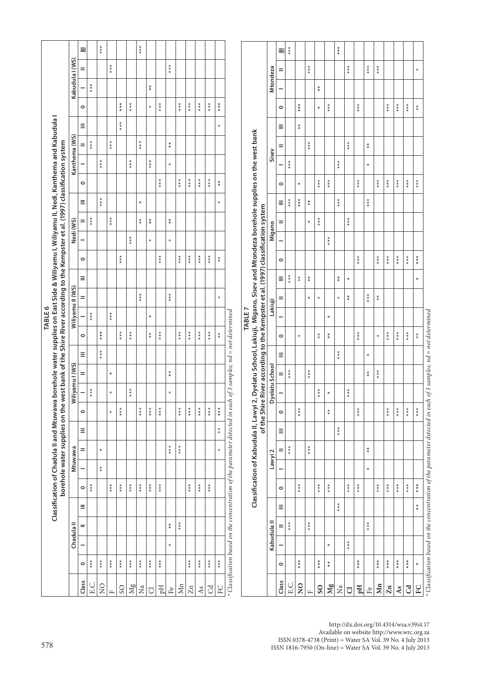| $*_{*}$<br>***<br>$\underset{\star}{\star}$<br>$\stackrel{\star}{\star}$<br>$\equiv$<br>크<br>Kabudula I (WS)<br>$\stackrel{\star}{\star}$<br>$\stackrel{\star}{\underset{\star}{}}$<br>$\stackrel{\star}{\star}$<br>Mtondeza<br>$\stackrel{\star}{\ast}$<br>$\stackrel{\star}{\ast}$<br>$\stackrel{\star}{\ast}$<br>=<br>$\star$<br>Ξ<br>$\underset{\star}{\star}$<br>$_{\star}^{\star}$<br>$_{\star}^{\star}$<br>$\stackrel{\star}{\star}$<br>$\stackrel{\star}{\star}$<br>$\stackrel{\star}{\underset{\star}{}}$<br>$\star\star$<br>$\underset{\star}{\star}$<br>$\underset{\star}{\star}$<br>$\star\star$<br>$\stackrel{\star}{\star}$<br>$\star\star$<br>$\stackrel{\star}{\star}$<br>$\star\star$<br>$\star\star$<br>$\stackrel{\star}{\star}$<br>$\star\star$<br>$\star$<br>$\stackrel{\star}{\star}$<br>$\circ$<br>$\circ$<br>$\star$<br>$*_{*}$<br>Ξ<br>$\stackrel{\star}{\star}$<br>$\star$<br>Ξ<br>Dyelatu School, Lakiuji, Migano, Sisev and Mtondeza borehole supplies on the west bank<br>Kanthema (WS)<br>$*_{*}$<br>$\stackrel{\star}{\star}$<br>***<br>$\star\star$<br>$\stackrel{\star}{\scriptstyle\star\atop\star}$<br>$\overset{\star}{\star}$<br>$\overset{\star}{\star}$<br>=<br>=<br>Sisev<br>$*_{*}$<br>$\star\star$<br>$\stackrel{\star}{\star}$<br>$\stackrel{\star}{\star}$<br>$*_{*}$<br>$\star$<br>$\star$<br>$\stackrel{\star}{\star}$<br>$\stackrel{\star}{\scriptscriptstyle \star\atop \star}$<br>$\underset{\star}{\star}$<br>$\underset{\star}{\star}$<br>$\stackrel{\star}{\star}$<br>$\stackrel{\star}{\star}$<br>$\stackrel{\star}{\star}$<br>$\stackrel{\star}{\star}$<br>$*_{*}$<br>$\stackrel{\star}{\star}$<br>$\overset{\star}{\underset{\star}{\star}}$<br>$\stackrel{\star}{\star}$<br>$\stackrel{\star}{\star}$<br>$\stackrel{\star}{\star}$<br>$\circ$<br>$\star$<br>$\circ$<br>$\star\star$<br>$*_{*}$<br>$\stackrel{\star}{\star}$<br>$\star\star$<br>$\stackrel{\star}{\ast}$<br>Ξ<br>$^{\star}$<br>Ξ<br>$\stackrel{\star}{\star}$<br>$\star$<br>of the Shire River according to the Kempster et al. (1997) classification system<br>$\underset{\star}{\star}$<br>$\stackrel{\star}{\underset{\star}{}}$<br>$\stackrel{\star}{\star}$<br>$\stackrel{\star}{\ast}$<br>Nedi (WS)<br>$\stackrel{\star}{\star}$<br>$^\star_\star$<br>$\stackrel{\star}{\star}$<br>=<br>Ξ<br>$\star$<br>Migano<br>$\stackrel{\star}{\scriptscriptstyle \star}$<br>$\stackrel{\star}{\star}$<br>$\star$<br>$\star$<br>$\stackrel{\star}{\star}$<br>$\stackrel{\star}{\star}$<br>$\stackrel{\star}{\scriptscriptstyle \star\atop \star}$<br>$\underset{\star}{\star}$<br>$\stackrel{\star}{\underset{\star}{}}$<br>$\underset{\star}{\star}$<br>$\stackrel{\star}{\star}$<br>$\stackrel{\star}{\star}$<br>$\stackrel{\star}{\star}$<br>$\stackrel{\star}{\ast}$<br>$\stackrel{\star}{\ast}$<br>$\stackrel{\star}{\ast}$<br>$\stackrel{\star}{\star}$<br>$\circ$<br>$\circ$<br>$\stackrel{\star}{\underset{\star}{\star}}$<br>Ξ<br>$_{\star}^{\star}$<br>$\stackrel{\star}{\star}$<br>$\stackrel{\star}{\star}$<br>Ξ<br>$\star$<br>$^\star$<br>Wiliyamu II (WS)<br>$\stackrel{\star}{\star}$<br>$\stackrel{\star}{\underset{\star}{}}$<br>$*_{*}$<br>$_{\star}^{\star}$<br>$\stackrel{\star}{\star}$<br>=<br>$\star$<br>=<br>$\star$<br>$\star$<br>$\star$<br>Lakiuji<br>TABLE7<br>of 3 samples; $nd = not determined$<br>$*_{*}$<br>$\stackrel{\star}{\underset{\star}{}}$<br>$\star$<br>$\star$<br>$\stackrel{\star}{\star}$<br>***<br>$\stackrel{\star}{\star}$<br>$\stackrel{\star}{\star}$<br>$\stackrel{\star}{\scriptscriptstyle \star\atop \star}$<br>$\stackrel{\star}{\star}$<br>$\stackrel{\star}{\scriptscriptstyle \star\atop \scriptscriptstyle \star}$<br>$\underset{\star}{\star}$<br>$\stackrel{\star}{\star}$<br>$\stackrel{\star}{\star}$<br>$\star\star$<br>$\star\star$<br>$_\star^\star$<br>$_{\star}^{\star}$<br>$_{\star}^{\star}$<br>$_{\star}^{\star}$<br>$_{\star}^{\star}$<br>$\circ$<br>$\circ$<br>$\star$<br>$\star$<br>$\stackrel{\star}{\underset{\star}{}}$<br>$\star\star$<br>Ξ<br>Ξ<br>$\star$<br>Wiliyamu I (WS)<br>Dyelatu School<br>$\stackrel{\star}{\star}$<br>$\stackrel{\star}{\underset{\star}{\star}}$<br>$*_{*}$<br>$\stackrel{\star}{\star}$<br>$\stackrel{\star}{\star}$<br>$^{\star}$<br>=<br>Ξ<br>$*_{*}$<br>$*_{*}$<br>$\underset{\star}{\star}$<br>$\star\star$<br>-<br>$\star$<br>$\star$<br>$\star$<br>-<br>Classification of Kabudula II, Lawyi 2,<br>$^{\star}$ Classification based on the concentration of the parameter detected in each<br>$\stackrel{\star}{\star}$<br>$\stackrel{\star}{\star}$<br>$\stackrel{\star}{\star}$<br>$\underset{\star}{\star}$<br>$\stackrel{\star}{\star}$<br>$\stackrel{\star}{\star}$<br>$\stackrel{\star}{\star}$<br>$\stackrel{\star}{\star}$<br>$\star$ $\star$<br>$\star\star$<br>$\star\star$<br>$\stackrel{\star}{\star}$<br>$\star\star$<br>$\star\star$<br>$\star\star$<br>$_{\star}^{\star}$<br>$\circ$<br>$\star$<br>$\circ$<br>$\underset{\star}{\star}$<br>$_{\star}^{\star}$<br>Ξ<br>Ξ<br>$\stackrel{\star}{\star}$<br>$\star\star$<br>$\stackrel{\star}{\star}$<br>$\underset{\star}{\star}$<br>Mtuwawa<br>$\overset{\star}{\star}$<br>$=$<br>$\star$<br>$\star$<br>$=$<br>Lawyi 2<br>$\stackrel{\star}{\star}$<br>$\star$<br>$\stackrel{\star}{\star}$<br>$\stackrel{\star}{\star}$<br>$\stackrel{\star}{\star}$<br>$\stackrel{\star}{\star}$<br>$\stackrel{\star}{\star}$<br>$\star\star\star$<br>$\underset{\star}{\star}$<br>$\stackrel{\star}{\scriptscriptstyle \star\atop \star}$<br>$\stackrel{\star}{\star}$<br>$\stackrel{\star}{\underset{\star}{\star}}$<br>$\stackrel{\star}{\star}$<br>$\stackrel{\star}{\scriptscriptstyle \star\atop \star}$<br>$\stackrel{\star}{\star}$<br>$\stackrel{\star}{\star}$<br>$\stackrel{\star}{\star}$<br>$\star\star$<br>$\stackrel{\star}{\star}$<br>$\stackrel{\star}{\underset{\star}{\star}}$<br>$\stackrel{\star}{\underset{\star}{}}$<br>$\star\star$<br>$\circ$<br>$\circ$<br>$*_{*}$<br>Ξ<br>$^\star_\star$<br>Ξ<br>Kabudula II<br>$\stackrel{\star}{\star}$<br>$\stackrel{\star}{\star}$<br>$\star\star$<br>Chadula <sup>II</sup><br>$\underset{\star}{\star}$<br>$\stackrel{\star}{\star}$<br>Ξ<br>=<br>$\star\star$<br>$\star$<br>$\star$<br>$*_{*}$<br>$\stackrel{\star}{\star}$<br>$\stackrel{\star}{\underset{\star}{}}$<br>$\stackrel{\star}{\star}$<br>$\star\star$<br>$\stackrel{\star}{\star}$<br>$\stackrel{\star}{\underset{\star}{\star}}$<br>$\stackrel{\star}{\star}$<br>$\star\star$<br>$\stackrel{\star}{\star}$<br>$\star\star$<br>$\star\star$<br>$\stackrel{\star}{\star}$<br>$\star\star$<br>$\stackrel{\star}{\star}$<br>$\underset{\star}{\star}$<br>$\stackrel{\star}{\star}$<br>$\star\star$<br>$\stackrel{\star}{\star}$<br>$_{\star}^{\star}$<br>$\circ$<br>$\circ$<br>$\star$<br>Class<br>E.C.<br>$\overline{a}$<br>Min<br>Mn<br>Mg<br>Mg<br>Hq<br>SO<br>${\rm FC}$ |                  |  |  | borehole water supplies on the west bank of the Shire River according to the Kempster et al. (1997) classification system<br>Classification of Chadula II and Mtuwawa |  |  |  |  | TABLE 6 | borehole water supplies on East Side & Willyamu I, Willyamu II, Nedi, Kanthema and Kabudula I |  |  |  |  |  |  |
|------------------------------------------------------------------------------------------------------------------------------------------------------------------------------------------------------------------------------------------------------------------------------------------------------------------------------------------------------------------------------------------------------------------------------------------------------------------------------------------------------------------------------------------------------------------------------------------------------------------------------------------------------------------------------------------------------------------------------------------------------------------------------------------------------------------------------------------------------------------------------------------------------------------------------------------------------------------------------------------------------------------------------------------------------------------------------------------------------------------------------------------------------------------------------------------------------------------------------------------------------------------------------------------------------------------------------------------------------------------------------------------------------------------------------------------------------------------------------------------------------------------------------------------------------------------------------------------------------------------------------------------------------------------------------------------------------------------------------------------------------------------------------------------------------------------------------------------------------------------------------------------------------------------------------------------------------------------------------------------------------------------------------------------------------------------------------------------------------------------------------------------------------------------------------------------------------------------------------------------------------------------------------------------------------------------------------------------------------------------------------------------------------------------------------------------------------------------------------------------------------------------------------------------------------------------------------------------------------------------------------------------------------------------------------------------------------------------------------------------------------------------------------------------------------------------------------------------------------------------------------------------------------------------------------------------------------------------------------------------------------------------------------------------------------------------------------------------------------------------------------------------------------------------------------------------------------------------------------------------------------------------------------------------------------------------------------------------------------------------------------------------------------------------------------------------------------------------------------------------------------------------------------------------------------------------------------------------------------------------------------------------------------------------------------------------------------------------------------------------------------------------------------------------------------------------------------------------------------------------------------------------------------------------------------------------------------------------------------------------------------------------------------------------------------------------------------------------------------------------------------------------------------------------------------------------------------------------------------------------------------------------------------------------------------------------------------------------------------------------------------------------------------------------------------------------------------------------------------------------------------------------------------------------------------------------------------------------------------------------------------------------------------------------------------------------------------------------------------------------------------------------------------------------------------------------------------------------------------------------------------------------------------------------------------------------------------------------------------------------------------------------------------------------------------------------------------------------------------------------------------------------------------------------------------------------------------------------------------------------------------------------------------------------------------------------------------------------------------------------------------------------------------------------------------------------------------------------------------------------------------------------------------------------------------------------------------------------------------------------------------------------------------------------------------------------------------------------------------------------------------------------------------------------------------------------------------------------------------------------------------------------------------------------------------------------------------------------------------------------------------------------------------------------------------------------------------------------------------------------------------------------------------------------------------------------------------------------------------------------------------------------------------------------------------------------------------------------------------------------------------------------------------------------------------------------------------------------------------------------------------------------------------------------------------------------------------------------------------------------------------------------------------------------------------------------------------------------------------------------------------------------------------------------------------------------------------------------------------------------------------------------|------------------|--|--|-----------------------------------------------------------------------------------------------------------------------------------------------------------------------|--|--|--|--|---------|-----------------------------------------------------------------------------------------------|--|--|--|--|--|--|
|                                                                                                                                                                                                                                                                                                                                                                                                                                                                                                                                                                                                                                                                                                                                                                                                                                                                                                                                                                                                                                                                                                                                                                                                                                                                                                                                                                                                                                                                                                                                                                                                                                                                                                                                                                                                                                                                                                                                                                                                                                                                                                                                                                                                                                                                                                                                                                                                                                                                                                                                                                                                                                                                                                                                                                                                                                                                                                                                                                                                                                                                                                                                                                                                                                                                                                                                                                                                                                                                                                                                                                                                                                                                                                                                                                                                                                                                                                                                                                                                                                                                                                                                                                                                                                                                                                                                                                                                                                                                                                                                                                                                                                                                                                                                                                                                                                                                                                                                                                                                                                                                                                                                                                                                                                                                                                                                                                                                                                                                                                                                                                                                                                                                                                                                                                                                                                                                                                                                                                                                                                                                                                                                                                                                                                                                                                                                                                                                                                                                                                                                                                                                                                                                                                                                                                                                                                                                                          |                  |  |  |                                                                                                                                                                       |  |  |  |  |         |                                                                                               |  |  |  |  |  |  |
|                                                                                                                                                                                                                                                                                                                                                                                                                                                                                                                                                                                                                                                                                                                                                                                                                                                                                                                                                                                                                                                                                                                                                                                                                                                                                                                                                                                                                                                                                                                                                                                                                                                                                                                                                                                                                                                                                                                                                                                                                                                                                                                                                                                                                                                                                                                                                                                                                                                                                                                                                                                                                                                                                                                                                                                                                                                                                                                                                                                                                                                                                                                                                                                                                                                                                                                                                                                                                                                                                                                                                                                                                                                                                                                                                                                                                                                                                                                                                                                                                                                                                                                                                                                                                                                                                                                                                                                                                                                                                                                                                                                                                                                                                                                                                                                                                                                                                                                                                                                                                                                                                                                                                                                                                                                                                                                                                                                                                                                                                                                                                                                                                                                                                                                                                                                                                                                                                                                                                                                                                                                                                                                                                                                                                                                                                                                                                                                                                                                                                                                                                                                                                                                                                                                                                                                                                                                                                          | Class            |  |  |                                                                                                                                                                       |  |  |  |  |         |                                                                                               |  |  |  |  |  |  |
|                                                                                                                                                                                                                                                                                                                                                                                                                                                                                                                                                                                                                                                                                                                                                                                                                                                                                                                                                                                                                                                                                                                                                                                                                                                                                                                                                                                                                                                                                                                                                                                                                                                                                                                                                                                                                                                                                                                                                                                                                                                                                                                                                                                                                                                                                                                                                                                                                                                                                                                                                                                                                                                                                                                                                                                                                                                                                                                                                                                                                                                                                                                                                                                                                                                                                                                                                                                                                                                                                                                                                                                                                                                                                                                                                                                                                                                                                                                                                                                                                                                                                                                                                                                                                                                                                                                                                                                                                                                                                                                                                                                                                                                                                                                                                                                                                                                                                                                                                                                                                                                                                                                                                                                                                                                                                                                                                                                                                                                                                                                                                                                                                                                                                                                                                                                                                                                                                                                                                                                                                                                                                                                                                                                                                                                                                                                                                                                                                                                                                                                                                                                                                                                                                                                                                                                                                                                                                          | C.<br>E.C.       |  |  |                                                                                                                                                                       |  |  |  |  |         |                                                                                               |  |  |  |  |  |  |
|                                                                                                                                                                                                                                                                                                                                                                                                                                                                                                                                                                                                                                                                                                                                                                                                                                                                                                                                                                                                                                                                                                                                                                                                                                                                                                                                                                                                                                                                                                                                                                                                                                                                                                                                                                                                                                                                                                                                                                                                                                                                                                                                                                                                                                                                                                                                                                                                                                                                                                                                                                                                                                                                                                                                                                                                                                                                                                                                                                                                                                                                                                                                                                                                                                                                                                                                                                                                                                                                                                                                                                                                                                                                                                                                                                                                                                                                                                                                                                                                                                                                                                                                                                                                                                                                                                                                                                                                                                                                                                                                                                                                                                                                                                                                                                                                                                                                                                                                                                                                                                                                                                                                                                                                                                                                                                                                                                                                                                                                                                                                                                                                                                                                                                                                                                                                                                                                                                                                                                                                                                                                                                                                                                                                                                                                                                                                                                                                                                                                                                                                                                                                                                                                                                                                                                                                                                                                                          | $\sum_{i=1}^{n}$ |  |  |                                                                                                                                                                       |  |  |  |  |         |                                                                                               |  |  |  |  |  |  |
|                                                                                                                                                                                                                                                                                                                                                                                                                                                                                                                                                                                                                                                                                                                                                                                                                                                                                                                                                                                                                                                                                                                                                                                                                                                                                                                                                                                                                                                                                                                                                                                                                                                                                                                                                                                                                                                                                                                                                                                                                                                                                                                                                                                                                                                                                                                                                                                                                                                                                                                                                                                                                                                                                                                                                                                                                                                                                                                                                                                                                                                                                                                                                                                                                                                                                                                                                                                                                                                                                                                                                                                                                                                                                                                                                                                                                                                                                                                                                                                                                                                                                                                                                                                                                                                                                                                                                                                                                                                                                                                                                                                                                                                                                                                                                                                                                                                                                                                                                                                                                                                                                                                                                                                                                                                                                                                                                                                                                                                                                                                                                                                                                                                                                                                                                                                                                                                                                                                                                                                                                                                                                                                                                                                                                                                                                                                                                                                                                                                                                                                                                                                                                                                                                                                                                                                                                                                                                          |                  |  |  |                                                                                                                                                                       |  |  |  |  |         |                                                                                               |  |  |  |  |  |  |
|                                                                                                                                                                                                                                                                                                                                                                                                                                                                                                                                                                                                                                                                                                                                                                                                                                                                                                                                                                                                                                                                                                                                                                                                                                                                                                                                                                                                                                                                                                                                                                                                                                                                                                                                                                                                                                                                                                                                                                                                                                                                                                                                                                                                                                                                                                                                                                                                                                                                                                                                                                                                                                                                                                                                                                                                                                                                                                                                                                                                                                                                                                                                                                                                                                                                                                                                                                                                                                                                                                                                                                                                                                                                                                                                                                                                                                                                                                                                                                                                                                                                                                                                                                                                                                                                                                                                                                                                                                                                                                                                                                                                                                                                                                                                                                                                                                                                                                                                                                                                                                                                                                                                                                                                                                                                                                                                                                                                                                                                                                                                                                                                                                                                                                                                                                                                                                                                                                                                                                                                                                                                                                                                                                                                                                                                                                                                                                                                                                                                                                                                                                                                                                                                                                                                                                                                                                                                                          |                  |  |  |                                                                                                                                                                       |  |  |  |  |         |                                                                                               |  |  |  |  |  |  |
|                                                                                                                                                                                                                                                                                                                                                                                                                                                                                                                                                                                                                                                                                                                                                                                                                                                                                                                                                                                                                                                                                                                                                                                                                                                                                                                                                                                                                                                                                                                                                                                                                                                                                                                                                                                                                                                                                                                                                                                                                                                                                                                                                                                                                                                                                                                                                                                                                                                                                                                                                                                                                                                                                                                                                                                                                                                                                                                                                                                                                                                                                                                                                                                                                                                                                                                                                                                                                                                                                                                                                                                                                                                                                                                                                                                                                                                                                                                                                                                                                                                                                                                                                                                                                                                                                                                                                                                                                                                                                                                                                                                                                                                                                                                                                                                                                                                                                                                                                                                                                                                                                                                                                                                                                                                                                                                                                                                                                                                                                                                                                                                                                                                                                                                                                                                                                                                                                                                                                                                                                                                                                                                                                                                                                                                                                                                                                                                                                                                                                                                                                                                                                                                                                                                                                                                                                                                                                          |                  |  |  |                                                                                                                                                                       |  |  |  |  |         |                                                                                               |  |  |  |  |  |  |
|                                                                                                                                                                                                                                                                                                                                                                                                                                                                                                                                                                                                                                                                                                                                                                                                                                                                                                                                                                                                                                                                                                                                                                                                                                                                                                                                                                                                                                                                                                                                                                                                                                                                                                                                                                                                                                                                                                                                                                                                                                                                                                                                                                                                                                                                                                                                                                                                                                                                                                                                                                                                                                                                                                                                                                                                                                                                                                                                                                                                                                                                                                                                                                                                                                                                                                                                                                                                                                                                                                                                                                                                                                                                                                                                                                                                                                                                                                                                                                                                                                                                                                                                                                                                                                                                                                                                                                                                                                                                                                                                                                                                                                                                                                                                                                                                                                                                                                                                                                                                                                                                                                                                                                                                                                                                                                                                                                                                                                                                                                                                                                                                                                                                                                                                                                                                                                                                                                                                                                                                                                                                                                                                                                                                                                                                                                                                                                                                                                                                                                                                                                                                                                                                                                                                                                                                                                                                                          |                  |  |  |                                                                                                                                                                       |  |  |  |  |         |                                                                                               |  |  |  |  |  |  |
|                                                                                                                                                                                                                                                                                                                                                                                                                                                                                                                                                                                                                                                                                                                                                                                                                                                                                                                                                                                                                                                                                                                                                                                                                                                                                                                                                                                                                                                                                                                                                                                                                                                                                                                                                                                                                                                                                                                                                                                                                                                                                                                                                                                                                                                                                                                                                                                                                                                                                                                                                                                                                                                                                                                                                                                                                                                                                                                                                                                                                                                                                                                                                                                                                                                                                                                                                                                                                                                                                                                                                                                                                                                                                                                                                                                                                                                                                                                                                                                                                                                                                                                                                                                                                                                                                                                                                                                                                                                                                                                                                                                                                                                                                                                                                                                                                                                                                                                                                                                                                                                                                                                                                                                                                                                                                                                                                                                                                                                                                                                                                                                                                                                                                                                                                                                                                                                                                                                                                                                                                                                                                                                                                                                                                                                                                                                                                                                                                                                                                                                                                                                                                                                                                                                                                                                                                                                                                          |                  |  |  |                                                                                                                                                                       |  |  |  |  |         |                                                                                               |  |  |  |  |  |  |
|                                                                                                                                                                                                                                                                                                                                                                                                                                                                                                                                                                                                                                                                                                                                                                                                                                                                                                                                                                                                                                                                                                                                                                                                                                                                                                                                                                                                                                                                                                                                                                                                                                                                                                                                                                                                                                                                                                                                                                                                                                                                                                                                                                                                                                                                                                                                                                                                                                                                                                                                                                                                                                                                                                                                                                                                                                                                                                                                                                                                                                                                                                                                                                                                                                                                                                                                                                                                                                                                                                                                                                                                                                                                                                                                                                                                                                                                                                                                                                                                                                                                                                                                                                                                                                                                                                                                                                                                                                                                                                                                                                                                                                                                                                                                                                                                                                                                                                                                                                                                                                                                                                                                                                                                                                                                                                                                                                                                                                                                                                                                                                                                                                                                                                                                                                                                                                                                                                                                                                                                                                                                                                                                                                                                                                                                                                                                                                                                                                                                                                                                                                                                                                                                                                                                                                                                                                                                                          |                  |  |  |                                                                                                                                                                       |  |  |  |  |         |                                                                                               |  |  |  |  |  |  |
|                                                                                                                                                                                                                                                                                                                                                                                                                                                                                                                                                                                                                                                                                                                                                                                                                                                                                                                                                                                                                                                                                                                                                                                                                                                                                                                                                                                                                                                                                                                                                                                                                                                                                                                                                                                                                                                                                                                                                                                                                                                                                                                                                                                                                                                                                                                                                                                                                                                                                                                                                                                                                                                                                                                                                                                                                                                                                                                                                                                                                                                                                                                                                                                                                                                                                                                                                                                                                                                                                                                                                                                                                                                                                                                                                                                                                                                                                                                                                                                                                                                                                                                                                                                                                                                                                                                                                                                                                                                                                                                                                                                                                                                                                                                                                                                                                                                                                                                                                                                                                                                                                                                                                                                                                                                                                                                                                                                                                                                                                                                                                                                                                                                                                                                                                                                                                                                                                                                                                                                                                                                                                                                                                                                                                                                                                                                                                                                                                                                                                                                                                                                                                                                                                                                                                                                                                                                                                          |                  |  |  |                                                                                                                                                                       |  |  |  |  |         |                                                                                               |  |  |  |  |  |  |
|                                                                                                                                                                                                                                                                                                                                                                                                                                                                                                                                                                                                                                                                                                                                                                                                                                                                                                                                                                                                                                                                                                                                                                                                                                                                                                                                                                                                                                                                                                                                                                                                                                                                                                                                                                                                                                                                                                                                                                                                                                                                                                                                                                                                                                                                                                                                                                                                                                                                                                                                                                                                                                                                                                                                                                                                                                                                                                                                                                                                                                                                                                                                                                                                                                                                                                                                                                                                                                                                                                                                                                                                                                                                                                                                                                                                                                                                                                                                                                                                                                                                                                                                                                                                                                                                                                                                                                                                                                                                                                                                                                                                                                                                                                                                                                                                                                                                                                                                                                                                                                                                                                                                                                                                                                                                                                                                                                                                                                                                                                                                                                                                                                                                                                                                                                                                                                                                                                                                                                                                                                                                                                                                                                                                                                                                                                                                                                                                                                                                                                                                                                                                                                                                                                                                                                                                                                                                                          |                  |  |  |                                                                                                                                                                       |  |  |  |  |         |                                                                                               |  |  |  |  |  |  |
|                                                                                                                                                                                                                                                                                                                                                                                                                                                                                                                                                                                                                                                                                                                                                                                                                                                                                                                                                                                                                                                                                                                                                                                                                                                                                                                                                                                                                                                                                                                                                                                                                                                                                                                                                                                                                                                                                                                                                                                                                                                                                                                                                                                                                                                                                                                                                                                                                                                                                                                                                                                                                                                                                                                                                                                                                                                                                                                                                                                                                                                                                                                                                                                                                                                                                                                                                                                                                                                                                                                                                                                                                                                                                                                                                                                                                                                                                                                                                                                                                                                                                                                                                                                                                                                                                                                                                                                                                                                                                                                                                                                                                                                                                                                                                                                                                                                                                                                                                                                                                                                                                                                                                                                                                                                                                                                                                                                                                                                                                                                                                                                                                                                                                                                                                                                                                                                                                                                                                                                                                                                                                                                                                                                                                                                                                                                                                                                                                                                                                                                                                                                                                                                                                                                                                                                                                                                                                          |                  |  |  |                                                                                                                                                                       |  |  |  |  |         |                                                                                               |  |  |  |  |  |  |
|                                                                                                                                                                                                                                                                                                                                                                                                                                                                                                                                                                                                                                                                                                                                                                                                                                                                                                                                                                                                                                                                                                                                                                                                                                                                                                                                                                                                                                                                                                                                                                                                                                                                                                                                                                                                                                                                                                                                                                                                                                                                                                                                                                                                                                                                                                                                                                                                                                                                                                                                                                                                                                                                                                                                                                                                                                                                                                                                                                                                                                                                                                                                                                                                                                                                                                                                                                                                                                                                                                                                                                                                                                                                                                                                                                                                                                                                                                                                                                                                                                                                                                                                                                                                                                                                                                                                                                                                                                                                                                                                                                                                                                                                                                                                                                                                                                                                                                                                                                                                                                                                                                                                                                                                                                                                                                                                                                                                                                                                                                                                                                                                                                                                                                                                                                                                                                                                                                                                                                                                                                                                                                                                                                                                                                                                                                                                                                                                                                                                                                                                                                                                                                                                                                                                                                                                                                                                                          |                  |  |  |                                                                                                                                                                       |  |  |  |  |         |                                                                                               |  |  |  |  |  |  |
|                                                                                                                                                                                                                                                                                                                                                                                                                                                                                                                                                                                                                                                                                                                                                                                                                                                                                                                                                                                                                                                                                                                                                                                                                                                                                                                                                                                                                                                                                                                                                                                                                                                                                                                                                                                                                                                                                                                                                                                                                                                                                                                                                                                                                                                                                                                                                                                                                                                                                                                                                                                                                                                                                                                                                                                                                                                                                                                                                                                                                                                                                                                                                                                                                                                                                                                                                                                                                                                                                                                                                                                                                                                                                                                                                                                                                                                                                                                                                                                                                                                                                                                                                                                                                                                                                                                                                                                                                                                                                                                                                                                                                                                                                                                                                                                                                                                                                                                                                                                                                                                                                                                                                                                                                                                                                                                                                                                                                                                                                                                                                                                                                                                                                                                                                                                                                                                                                                                                                                                                                                                                                                                                                                                                                                                                                                                                                                                                                                                                                                                                                                                                                                                                                                                                                                                                                                                                                          |                  |  |  |                                                                                                                                                                       |  |  |  |  |         |                                                                                               |  |  |  |  |  |  |
|                                                                                                                                                                                                                                                                                                                                                                                                                                                                                                                                                                                                                                                                                                                                                                                                                                                                                                                                                                                                                                                                                                                                                                                                                                                                                                                                                                                                                                                                                                                                                                                                                                                                                                                                                                                                                                                                                                                                                                                                                                                                                                                                                                                                                                                                                                                                                                                                                                                                                                                                                                                                                                                                                                                                                                                                                                                                                                                                                                                                                                                                                                                                                                                                                                                                                                                                                                                                                                                                                                                                                                                                                                                                                                                                                                                                                                                                                                                                                                                                                                                                                                                                                                                                                                                                                                                                                                                                                                                                                                                                                                                                                                                                                                                                                                                                                                                                                                                                                                                                                                                                                                                                                                                                                                                                                                                                                                                                                                                                                                                                                                                                                                                                                                                                                                                                                                                                                                                                                                                                                                                                                                                                                                                                                                                                                                                                                                                                                                                                                                                                                                                                                                                                                                                                                                                                                                                                                          |                  |  |  |                                                                                                                                                                       |  |  |  |  |         |                                                                                               |  |  |  |  |  |  |
|                                                                                                                                                                                                                                                                                                                                                                                                                                                                                                                                                                                                                                                                                                                                                                                                                                                                                                                                                                                                                                                                                                                                                                                                                                                                                                                                                                                                                                                                                                                                                                                                                                                                                                                                                                                                                                                                                                                                                                                                                                                                                                                                                                                                                                                                                                                                                                                                                                                                                                                                                                                                                                                                                                                                                                                                                                                                                                                                                                                                                                                                                                                                                                                                                                                                                                                                                                                                                                                                                                                                                                                                                                                                                                                                                                                                                                                                                                                                                                                                                                                                                                                                                                                                                                                                                                                                                                                                                                                                                                                                                                                                                                                                                                                                                                                                                                                                                                                                                                                                                                                                                                                                                                                                                                                                                                                                                                                                                                                                                                                                                                                                                                                                                                                                                                                                                                                                                                                                                                                                                                                                                                                                                                                                                                                                                                                                                                                                                                                                                                                                                                                                                                                                                                                                                                                                                                                                                          |                  |  |  |                                                                                                                                                                       |  |  |  |  |         |                                                                                               |  |  |  |  |  |  |
|                                                                                                                                                                                                                                                                                                                                                                                                                                                                                                                                                                                                                                                                                                                                                                                                                                                                                                                                                                                                                                                                                                                                                                                                                                                                                                                                                                                                                                                                                                                                                                                                                                                                                                                                                                                                                                                                                                                                                                                                                                                                                                                                                                                                                                                                                                                                                                                                                                                                                                                                                                                                                                                                                                                                                                                                                                                                                                                                                                                                                                                                                                                                                                                                                                                                                                                                                                                                                                                                                                                                                                                                                                                                                                                                                                                                                                                                                                                                                                                                                                                                                                                                                                                                                                                                                                                                                                                                                                                                                                                                                                                                                                                                                                                                                                                                                                                                                                                                                                                                                                                                                                                                                                                                                                                                                                                                                                                                                                                                                                                                                                                                                                                                                                                                                                                                                                                                                                                                                                                                                                                                                                                                                                                                                                                                                                                                                                                                                                                                                                                                                                                                                                                                                                                                                                                                                                                                                          |                  |  |  |                                                                                                                                                                       |  |  |  |  |         |                                                                                               |  |  |  |  |  |  |
|                                                                                                                                                                                                                                                                                                                                                                                                                                                                                                                                                                                                                                                                                                                                                                                                                                                                                                                                                                                                                                                                                                                                                                                                                                                                                                                                                                                                                                                                                                                                                                                                                                                                                                                                                                                                                                                                                                                                                                                                                                                                                                                                                                                                                                                                                                                                                                                                                                                                                                                                                                                                                                                                                                                                                                                                                                                                                                                                                                                                                                                                                                                                                                                                                                                                                                                                                                                                                                                                                                                                                                                                                                                                                                                                                                                                                                                                                                                                                                                                                                                                                                                                                                                                                                                                                                                                                                                                                                                                                                                                                                                                                                                                                                                                                                                                                                                                                                                                                                                                                                                                                                                                                                                                                                                                                                                                                                                                                                                                                                                                                                                                                                                                                                                                                                                                                                                                                                                                                                                                                                                                                                                                                                                                                                                                                                                                                                                                                                                                                                                                                                                                                                                                                                                                                                                                                                                                                          |                  |  |  |                                                                                                                                                                       |  |  |  |  |         |                                                                                               |  |  |  |  |  |  |
|                                                                                                                                                                                                                                                                                                                                                                                                                                                                                                                                                                                                                                                                                                                                                                                                                                                                                                                                                                                                                                                                                                                                                                                                                                                                                                                                                                                                                                                                                                                                                                                                                                                                                                                                                                                                                                                                                                                                                                                                                                                                                                                                                                                                                                                                                                                                                                                                                                                                                                                                                                                                                                                                                                                                                                                                                                                                                                                                                                                                                                                                                                                                                                                                                                                                                                                                                                                                                                                                                                                                                                                                                                                                                                                                                                                                                                                                                                                                                                                                                                                                                                                                                                                                                                                                                                                                                                                                                                                                                                                                                                                                                                                                                                                                                                                                                                                                                                                                                                                                                                                                                                                                                                                                                                                                                                                                                                                                                                                                                                                                                                                                                                                                                                                                                                                                                                                                                                                                                                                                                                                                                                                                                                                                                                                                                                                                                                                                                                                                                                                                                                                                                                                                                                                                                                                                                                                                                          |                  |  |  |                                                                                                                                                                       |  |  |  |  |         |                                                                                               |  |  |  |  |  |  |
|                                                                                                                                                                                                                                                                                                                                                                                                                                                                                                                                                                                                                                                                                                                                                                                                                                                                                                                                                                                                                                                                                                                                                                                                                                                                                                                                                                                                                                                                                                                                                                                                                                                                                                                                                                                                                                                                                                                                                                                                                                                                                                                                                                                                                                                                                                                                                                                                                                                                                                                                                                                                                                                                                                                                                                                                                                                                                                                                                                                                                                                                                                                                                                                                                                                                                                                                                                                                                                                                                                                                                                                                                                                                                                                                                                                                                                                                                                                                                                                                                                                                                                                                                                                                                                                                                                                                                                                                                                                                                                                                                                                                                                                                                                                                                                                                                                                                                                                                                                                                                                                                                                                                                                                                                                                                                                                                                                                                                                                                                                                                                                                                                                                                                                                                                                                                                                                                                                                                                                                                                                                                                                                                                                                                                                                                                                                                                                                                                                                                                                                                                                                                                                                                                                                                                                                                                                                                                          |                  |  |  |                                                                                                                                                                       |  |  |  |  |         |                                                                                               |  |  |  |  |  |  |
|                                                                                                                                                                                                                                                                                                                                                                                                                                                                                                                                                                                                                                                                                                                                                                                                                                                                                                                                                                                                                                                                                                                                                                                                                                                                                                                                                                                                                                                                                                                                                                                                                                                                                                                                                                                                                                                                                                                                                                                                                                                                                                                                                                                                                                                                                                                                                                                                                                                                                                                                                                                                                                                                                                                                                                                                                                                                                                                                                                                                                                                                                                                                                                                                                                                                                                                                                                                                                                                                                                                                                                                                                                                                                                                                                                                                                                                                                                                                                                                                                                                                                                                                                                                                                                                                                                                                                                                                                                                                                                                                                                                                                                                                                                                                                                                                                                                                                                                                                                                                                                                                                                                                                                                                                                                                                                                                                                                                                                                                                                                                                                                                                                                                                                                                                                                                                                                                                                                                                                                                                                                                                                                                                                                                                                                                                                                                                                                                                                                                                                                                                                                                                                                                                                                                                                                                                                                                                          |                  |  |  |                                                                                                                                                                       |  |  |  |  |         |                                                                                               |  |  |  |  |  |  |
|                                                                                                                                                                                                                                                                                                                                                                                                                                                                                                                                                                                                                                                                                                                                                                                                                                                                                                                                                                                                                                                                                                                                                                                                                                                                                                                                                                                                                                                                                                                                                                                                                                                                                                                                                                                                                                                                                                                                                                                                                                                                                                                                                                                                                                                                                                                                                                                                                                                                                                                                                                                                                                                                                                                                                                                                                                                                                                                                                                                                                                                                                                                                                                                                                                                                                                                                                                                                                                                                                                                                                                                                                                                                                                                                                                                                                                                                                                                                                                                                                                                                                                                                                                                                                                                                                                                                                                                                                                                                                                                                                                                                                                                                                                                                                                                                                                                                                                                                                                                                                                                                                                                                                                                                                                                                                                                                                                                                                                                                                                                                                                                                                                                                                                                                                                                                                                                                                                                                                                                                                                                                                                                                                                                                                                                                                                                                                                                                                                                                                                                                                                                                                                                                                                                                                                                                                                                                                          |                  |  |  |                                                                                                                                                                       |  |  |  |  |         |                                                                                               |  |  |  |  |  |  |
|                                                                                                                                                                                                                                                                                                                                                                                                                                                                                                                                                                                                                                                                                                                                                                                                                                                                                                                                                                                                                                                                                                                                                                                                                                                                                                                                                                                                                                                                                                                                                                                                                                                                                                                                                                                                                                                                                                                                                                                                                                                                                                                                                                                                                                                                                                                                                                                                                                                                                                                                                                                                                                                                                                                                                                                                                                                                                                                                                                                                                                                                                                                                                                                                                                                                                                                                                                                                                                                                                                                                                                                                                                                                                                                                                                                                                                                                                                                                                                                                                                                                                                                                                                                                                                                                                                                                                                                                                                                                                                                                                                                                                                                                                                                                                                                                                                                                                                                                                                                                                                                                                                                                                                                                                                                                                                                                                                                                                                                                                                                                                                                                                                                                                                                                                                                                                                                                                                                                                                                                                                                                                                                                                                                                                                                                                                                                                                                                                                                                                                                                                                                                                                                                                                                                                                                                                                                                                          |                  |  |  |                                                                                                                                                                       |  |  |  |  |         |                                                                                               |  |  |  |  |  |  |
|                                                                                                                                                                                                                                                                                                                                                                                                                                                                                                                                                                                                                                                                                                                                                                                                                                                                                                                                                                                                                                                                                                                                                                                                                                                                                                                                                                                                                                                                                                                                                                                                                                                                                                                                                                                                                                                                                                                                                                                                                                                                                                                                                                                                                                                                                                                                                                                                                                                                                                                                                                                                                                                                                                                                                                                                                                                                                                                                                                                                                                                                                                                                                                                                                                                                                                                                                                                                                                                                                                                                                                                                                                                                                                                                                                                                                                                                                                                                                                                                                                                                                                                                                                                                                                                                                                                                                                                                                                                                                                                                                                                                                                                                                                                                                                                                                                                                                                                                                                                                                                                                                                                                                                                                                                                                                                                                                                                                                                                                                                                                                                                                                                                                                                                                                                                                                                                                                                                                                                                                                                                                                                                                                                                                                                                                                                                                                                                                                                                                                                                                                                                                                                                                                                                                                                                                                                                                                          |                  |  |  |                                                                                                                                                                       |  |  |  |  |         |                                                                                               |  |  |  |  |  |  |
|                                                                                                                                                                                                                                                                                                                                                                                                                                                                                                                                                                                                                                                                                                                                                                                                                                                                                                                                                                                                                                                                                                                                                                                                                                                                                                                                                                                                                                                                                                                                                                                                                                                                                                                                                                                                                                                                                                                                                                                                                                                                                                                                                                                                                                                                                                                                                                                                                                                                                                                                                                                                                                                                                                                                                                                                                                                                                                                                                                                                                                                                                                                                                                                                                                                                                                                                                                                                                                                                                                                                                                                                                                                                                                                                                                                                                                                                                                                                                                                                                                                                                                                                                                                                                                                                                                                                                                                                                                                                                                                                                                                                                                                                                                                                                                                                                                                                                                                                                                                                                                                                                                                                                                                                                                                                                                                                                                                                                                                                                                                                                                                                                                                                                                                                                                                                                                                                                                                                                                                                                                                                                                                                                                                                                                                                                                                                                                                                                                                                                                                                                                                                                                                                                                                                                                                                                                                                                          |                  |  |  |                                                                                                                                                                       |  |  |  |  |         |                                                                                               |  |  |  |  |  |  |
|                                                                                                                                                                                                                                                                                                                                                                                                                                                                                                                                                                                                                                                                                                                                                                                                                                                                                                                                                                                                                                                                                                                                                                                                                                                                                                                                                                                                                                                                                                                                                                                                                                                                                                                                                                                                                                                                                                                                                                                                                                                                                                                                                                                                                                                                                                                                                                                                                                                                                                                                                                                                                                                                                                                                                                                                                                                                                                                                                                                                                                                                                                                                                                                                                                                                                                                                                                                                                                                                                                                                                                                                                                                                                                                                                                                                                                                                                                                                                                                                                                                                                                                                                                                                                                                                                                                                                                                                                                                                                                                                                                                                                                                                                                                                                                                                                                                                                                                                                                                                                                                                                                                                                                                                                                                                                                                                                                                                                                                                                                                                                                                                                                                                                                                                                                                                                                                                                                                                                                                                                                                                                                                                                                                                                                                                                                                                                                                                                                                                                                                                                                                                                                                                                                                                                                                                                                                                                          |                  |  |  |                                                                                                                                                                       |  |  |  |  |         |                                                                                               |  |  |  |  |  |  |
|                                                                                                                                                                                                                                                                                                                                                                                                                                                                                                                                                                                                                                                                                                                                                                                                                                                                                                                                                                                                                                                                                                                                                                                                                                                                                                                                                                                                                                                                                                                                                                                                                                                                                                                                                                                                                                                                                                                                                                                                                                                                                                                                                                                                                                                                                                                                                                                                                                                                                                                                                                                                                                                                                                                                                                                                                                                                                                                                                                                                                                                                                                                                                                                                                                                                                                                                                                                                                                                                                                                                                                                                                                                                                                                                                                                                                                                                                                                                                                                                                                                                                                                                                                                                                                                                                                                                                                                                                                                                                                                                                                                                                                                                                                                                                                                                                                                                                                                                                                                                                                                                                                                                                                                                                                                                                                                                                                                                                                                                                                                                                                                                                                                                                                                                                                                                                                                                                                                                                                                                                                                                                                                                                                                                                                                                                                                                                                                                                                                                                                                                                                                                                                                                                                                                                                                                                                                                                          |                  |  |  |                                                                                                                                                                       |  |  |  |  |         |                                                                                               |  |  |  |  |  |  |
|                                                                                                                                                                                                                                                                                                                                                                                                                                                                                                                                                                                                                                                                                                                                                                                                                                                                                                                                                                                                                                                                                                                                                                                                                                                                                                                                                                                                                                                                                                                                                                                                                                                                                                                                                                                                                                                                                                                                                                                                                                                                                                                                                                                                                                                                                                                                                                                                                                                                                                                                                                                                                                                                                                                                                                                                                                                                                                                                                                                                                                                                                                                                                                                                                                                                                                                                                                                                                                                                                                                                                                                                                                                                                                                                                                                                                                                                                                                                                                                                                                                                                                                                                                                                                                                                                                                                                                                                                                                                                                                                                                                                                                                                                                                                                                                                                                                                                                                                                                                                                                                                                                                                                                                                                                                                                                                                                                                                                                                                                                                                                                                                                                                                                                                                                                                                                                                                                                                                                                                                                                                                                                                                                                                                                                                                                                                                                                                                                                                                                                                                                                                                                                                                                                                                                                                                                                                                                          |                  |  |  |                                                                                                                                                                       |  |  |  |  |         |                                                                                               |  |  |  |  |  |  |
|                                                                                                                                                                                                                                                                                                                                                                                                                                                                                                                                                                                                                                                                                                                                                                                                                                                                                                                                                                                                                                                                                                                                                                                                                                                                                                                                                                                                                                                                                                                                                                                                                                                                                                                                                                                                                                                                                                                                                                                                                                                                                                                                                                                                                                                                                                                                                                                                                                                                                                                                                                                                                                                                                                                                                                                                                                                                                                                                                                                                                                                                                                                                                                                                                                                                                                                                                                                                                                                                                                                                                                                                                                                                                                                                                                                                                                                                                                                                                                                                                                                                                                                                                                                                                                                                                                                                                                                                                                                                                                                                                                                                                                                                                                                                                                                                                                                                                                                                                                                                                                                                                                                                                                                                                                                                                                                                                                                                                                                                                                                                                                                                                                                                                                                                                                                                                                                                                                                                                                                                                                                                                                                                                                                                                                                                                                                                                                                                                                                                                                                                                                                                                                                                                                                                                                                                                                                                                          |                  |  |  |                                                                                                                                                                       |  |  |  |  |         |                                                                                               |  |  |  |  |  |  |
|                                                                                                                                                                                                                                                                                                                                                                                                                                                                                                                                                                                                                                                                                                                                                                                                                                                                                                                                                                                                                                                                                                                                                                                                                                                                                                                                                                                                                                                                                                                                                                                                                                                                                                                                                                                                                                                                                                                                                                                                                                                                                                                                                                                                                                                                                                                                                                                                                                                                                                                                                                                                                                                                                                                                                                                                                                                                                                                                                                                                                                                                                                                                                                                                                                                                                                                                                                                                                                                                                                                                                                                                                                                                                                                                                                                                                                                                                                                                                                                                                                                                                                                                                                                                                                                                                                                                                                                                                                                                                                                                                                                                                                                                                                                                                                                                                                                                                                                                                                                                                                                                                                                                                                                                                                                                                                                                                                                                                                                                                                                                                                                                                                                                                                                                                                                                                                                                                                                                                                                                                                                                                                                                                                                                                                                                                                                                                                                                                                                                                                                                                                                                                                                                                                                                                                                                                                                                                          |                  |  |  |                                                                                                                                                                       |  |  |  |  |         |                                                                                               |  |  |  |  |  |  |
|                                                                                                                                                                                                                                                                                                                                                                                                                                                                                                                                                                                                                                                                                                                                                                                                                                                                                                                                                                                                                                                                                                                                                                                                                                                                                                                                                                                                                                                                                                                                                                                                                                                                                                                                                                                                                                                                                                                                                                                                                                                                                                                                                                                                                                                                                                                                                                                                                                                                                                                                                                                                                                                                                                                                                                                                                                                                                                                                                                                                                                                                                                                                                                                                                                                                                                                                                                                                                                                                                                                                                                                                                                                                                                                                                                                                                                                                                                                                                                                                                                                                                                                                                                                                                                                                                                                                                                                                                                                                                                                                                                                                                                                                                                                                                                                                                                                                                                                                                                                                                                                                                                                                                                                                                                                                                                                                                                                                                                                                                                                                                                                                                                                                                                                                                                                                                                                                                                                                                                                                                                                                                                                                                                                                                                                                                                                                                                                                                                                                                                                                                                                                                                                                                                                                                                                                                                                                                          |                  |  |  |                                                                                                                                                                       |  |  |  |  |         |                                                                                               |  |  |  |  |  |  |
|                                                                                                                                                                                                                                                                                                                                                                                                                                                                                                                                                                                                                                                                                                                                                                                                                                                                                                                                                                                                                                                                                                                                                                                                                                                                                                                                                                                                                                                                                                                                                                                                                                                                                                                                                                                                                                                                                                                                                                                                                                                                                                                                                                                                                                                                                                                                                                                                                                                                                                                                                                                                                                                                                                                                                                                                                                                                                                                                                                                                                                                                                                                                                                                                                                                                                                                                                                                                                                                                                                                                                                                                                                                                                                                                                                                                                                                                                                                                                                                                                                                                                                                                                                                                                                                                                                                                                                                                                                                                                                                                                                                                                                                                                                                                                                                                                                                                                                                                                                                                                                                                                                                                                                                                                                                                                                                                                                                                                                                                                                                                                                                                                                                                                                                                                                                                                                                                                                                                                                                                                                                                                                                                                                                                                                                                                                                                                                                                                                                                                                                                                                                                                                                                                                                                                                                                                                                                                          |                  |  |  |                                                                                                                                                                       |  |  |  |  |         |                                                                                               |  |  |  |  |  |  |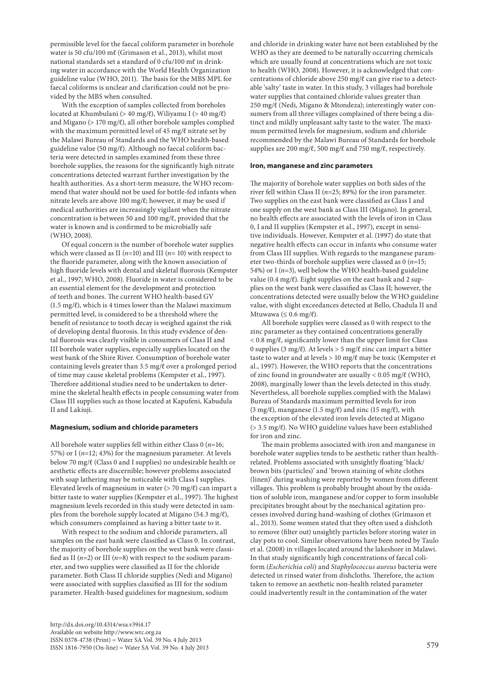permissible level for the faecal coliform parameter in borehole water is 50 cfu/100 mℓ (Grimason et al., 2013), whilst most national standards set a standard of 0 cfu/100 mℓ in drinking water in accordance with the World Health Organization guideline value (WHO, 2011). The basis for the MBS MPL for faecal coliforms is unclear and clarification could not be provided by the MBS when consulted.

With the exception of samples collected from boreholes located at Khumbulani (> 40 mg/ℓ), Wiliyamu I (> 40 mg/ℓ) and Migano ( $> 170$  mg/ $\ell$ ), all other borehole samples complied with the maximum permitted level of 45 mg/ℓ nitrate set by the Malawi Bureau of Standards and the WHO health-based guideline value (50 mg/ℓ). Although no faecal coliform bacteria were detected in samples examined from these three borehole supplies, the reasons for the significantly high nitrate concentrations detected warrant further investigation by the health authorities. As a short-term measure, the WHO recommend that water should not be used for bottle-fed infants when nitrate levels are above 100 mg/ℓ; however, it may be used if medical authorities are increasingly vigilant when the nitrate concentration is between 50 and 100 mg/ℓ, provided that the water is known and is confirmed to be microbially safe (WHO, 2008).

Of equal concern is the number of borehole water supplies which were classed as II  $(n=10)$  and III  $(n=10)$  with respect to the fluoride parameter, along with the known association of high fluoride levels with dental and skeletal fluorosis (Kempster et al., 1997; WHO, 2008). Fluoride in water is considered to be an essential element for the development and protection of teeth and bones. The current WHO health-based GV  $(1.5 \text{ mg}/\ell)$ , which is 4 times lower than the Malawi maximum permitted level, is considered to be a threshold where the benefit of resistance to tooth decay is weighed against the risk of developing dental fluorosis. In this study evidence of dental fluorosis was clearly visible in consumers of Class II and III borehole water supplies, especially supplies located on the west bank of the Shire River. Consumption of borehole water containing levels greater than 3.5 mg/ℓ over a prolonged period of time may cause skeletal problems (Kempster et al., 1997). Therefore additional studies need to be undertaken to determine the skeletal health effects in people consuming water from Class III supplies such as those located at Kapufeni, Kabudula II and Lakiuji.

#### **Magnesium, sodium and chloride parameters**

All borehole water supplies fell within either Class 0 (*n*=16; 57%) or I (*n*=12; 43%) for the magnesium parameter. At levels below 70 mg/ℓ (Class 0 and I supplies) no undesirable health or aesthetic effects are discernible; however problems associated with soap lathering may be noticeable with Class I supplies. Elevated levels of magnesium in water ( $>$  70 mg/ $\ell$ ) can impart a bitter taste to water supplies (Kempster et al., 1997). The highest magnesium levels recorded in this study were detected in samples from the borehole supply located at Migano (54.3 mg/ℓ), which consumers complained as having a bitter taste to it.

With respect to the sodium and chloride parameters, all samples on the east bank were classified as Class 0. In contrast, the majority of borehole supplies on the west bank were classified as II  $(n=2)$  or III  $(n=8)$  with respect to the sodium parameter, and two supplies were classified as II for the chloride parameter. Both Class II chloride supplies (Nedi and Migano) were associated with supplies classified as III for the sodium parameter. Health-based guidelines for magnesium, sodium

http://dx.doi.org/10.4314/wsa.v39i4.17 Available on website http://www.wrc.org.za ISSN 0378-4738 (Print) = Water SA Vol. 39 No. 4 July 2013  $1$ SSN 1816-7950 (On-line) = Water SA Vol. 39 No. 4 July 2013 579

and chloride in drinking water have not been established by the WHO as they are deemed to be naturally occurring chemicals which are usually found at concentrations which are not toxic to health (WHO, 2008). However, it is acknowledged that concentrations of chloride above 250 mg/ℓ can give rise to a detectable 'salty' taste in water. In this study, 3 villages had borehole water supplies that contained chloride values greater than 250 mg/ℓ (Nedi, Migano & Mtondeza); interestingly water consumers from all three villages complained of there being a distinct and mildly unpleasant salty taste to the water. The maximum permitted levels for magnesium, sodium and chloride recommended by the Malawi Bureau of Standards for borehole supplies are 200 mg/ℓ, 500 mg/ℓ and 750 mg/ℓ, respectively.

#### **Iron, manganese and zinc parameters**

The majority of borehole water supplies on both sides of the river fell within Class II (*n*=25; 89%) for the iron parameter. Two supplies on the east bank were classified as Class I and one supply on the west bank as Class III (Migano). In general, no health effects are associated with the levels of iron in Class 0, I and II supplies (Kempster et al., 1997), except in sensitive individuals. However, Kempster et al. (1997) do state that negative health effects can occur in infants who consume water from Class III supplies. With regards to the manganese parameter two-thirds of borehole supplies were classed as 0 (*n*=15; 54%) or I (*n*=3), well below the WHO health-based guideline value (0.4 mg/ℓ). Eight supplies on the east bank and 2 supplies on the west bank were classified as Class II; however, the concentrations detected were usually below the WHO guideline value, with slight exceedances detected at Bello, Chadula II and Mtuwawa ( $\leq 0.6$  mg/ $\ell$ ).

All borehole supplies were classed as 0 with respect to the zinc parameter as they contained concentrations generally < 0.8 mg/ℓ, significantly lower than the upper limit for Class 0 supplies (3 mg/ℓ). At levels > 5 mg/ℓ zinc can impart a bitter taste to water and at levels  $> 10$  mg/ $\ell$  may be toxic (Kempster et al., 1997). However, the WHO reports that the concentrations of zinc found in groundwater are usually < 0.05 mg/ℓ (WHO, 2008), marginally lower than the levels detected in this study. Nevertheless, all borehole supplies complied with the Malawi Bureau of Standards maximum permitted levels for iron (3 mg/ $\ell$ ), manganese (1.5 mg/ $\ell$ ) and zinc (15 mg/ $\ell$ ), with the exception of the elevated iron levels detected at Migano (> 3.5 mg/ℓ). No WHO guideline values have been established for iron and zinc.

The main problems associated with iron and manganese in borehole water supplies tends to be aesthetic rather than healthrelated. Problems associated with unsightly floating 'black/ brown bits (particles)' and 'brown staining of white clothes (linen)' during washing were reported by women from different villages. This problem is probably brought about by the oxidation of soluble iron, manganese and/or copper to form insoluble precipitates brought about by the mechanical agitation processes involved during hand-washing of clothes (Grimason et al., 2013). Some women stated that they often used a dishcloth to remove (filter out) unsightly particles before storing water in clay pots to cool. Similar observations have been noted by Taulo et al. (2008) in villages located around the lakeshore in Malawi. In that study significantly high concentrations of faecal coliform (*Escherichia coli*) and *Staphylococcus aureus* bacteria were detected in rinsed water from dishcloths. Therefore, the action taken to remove an aesthetic non-health related parameter could inadvertently result in the contamination of the water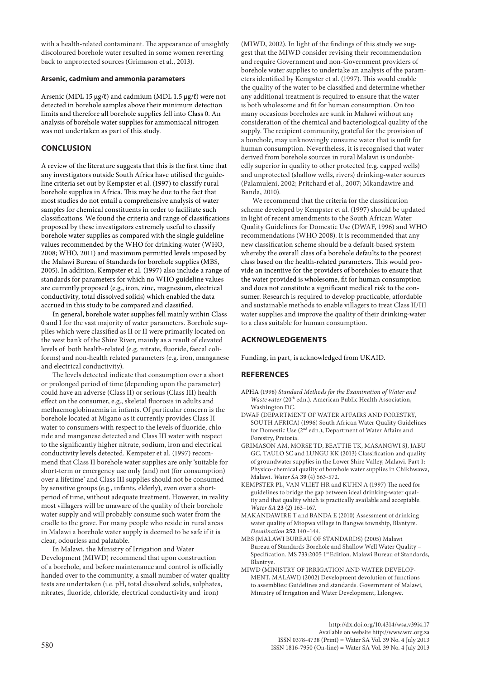with a health-related contaminant. The appearance of unsightly discoloured borehole water resulted in some women reverting back to unprotected sources (Grimason et al., 2013).

#### **Arsenic, cadmium and ammonia parameters**

Arsenic (MDL 15 µg/ℓ) and cadmium (MDL 1.5 µg/ℓ) were not detected in borehole samples above their minimum detection limits and therefore all borehole supplies fell into Class 0. An analysis of borehole water supplies for ammoniacal nitrogen was not undertaken as part of this study.

## **CONCLUSION**

A review of the literature suggests that this is the first time that any investigators outside South Africa have utilised the guideline criteria set out by Kempster et al. (1997) to classify rural borehole supplies in Africa. This may be due to the fact that most studies do not entail a comprehensive analysis of water samples for chemical constituents in order to facilitate such classifications. We found the criteria and range of classifications proposed by these investigators extremely useful to classify borehole water supplies as compared with the single guideline values recommended by the WHO for drinking-water (WHO, 2008; WHO, 2011) and maximum permitted levels imposed by the Malawi Bureau of Standards for borehole supplies (MBS, 2005). In addition, Kempster et al. (1997) also include a range of standards for parameters for which no WHO guideline values are currently proposed (e.g., iron, zinc, magnesium, electrical conductivity, total dissolved solids) which enabled the data accrued in this study to be compared and classified.

In general, borehole water supplies fell mainly within Class 0 and I for the vast majority of water parameters. Borehole supplies which were classified as II or II were primarily located on the west bank of the Shire River, mainly as a result of elevated levels of both health-related (e.g. nitrate, fluoride, faecal coliforms) and non-health related parameters (e.g. iron, manganese and electrical conductivity).

The levels detected indicate that consumption over a short or prolonged period of time (depending upon the parameter) could have an adverse (Class II) or serious (Class III) health effect on the consumer, e.g., skeletal fluorosis in adults and methaemoglobinaemia in infants. Of particular concern is the borehole located at Migano as it currently provides Class II water to consumers with respect to the levels of fluoride, chloride and manganese detected and Class III water with respect to the significantly higher nitrate, sodium, iron and electrical conductivity levels detected. Kempster et al. (1997) recommend that Class II borehole water supplies are only 'suitable for short-term or emergency use only (and) not (for consumption) over a lifetime' and Class III supplies should not be consumed by sensitive groups (e.g., infants, elderly), even over a shortperiod of time, without adequate treatment. However, in reality most villagers will be unaware of the quality of their borehole water supply and will probably consume such water from the cradle to the grave. For many people who reside in rural areas in Malawi a borehole water supply is deemed to be safe if it is clear, odourless and palatable.

In Malawi, the Ministry of Irrigation and Water Development (MIWD) recommend that upon construction of a borehole, and before maintenance and control is officially handed over to the community, a small number of water quality tests are undertaken (i.e. pH, total dissolved solids, sulphates, nitrates, fluoride, chloride, electrical conductivity and iron)

(MIWD, 2002). In light of the findings of this study we suggest that the MIWD consider revising their recommendation and require Government and non-Government providers of borehole water supplies to undertake an analysis of the parameters identified by Kempster et al. (1997). This would enable the quality of the water to be classified and determine whether any additional treatment is required to ensure that the water is both wholesome and fit for human consumption. On too many occasions boreholes are sunk in Malawi without any consideration of the chemical and bacteriological quality of the supply. The recipient community, grateful for the provision of a borehole, may unknowingly consume water that is unfit for human consumption. Nevertheless, it is recognised that water derived from borehole sources in rural Malawi is undoubtedly superior in quality to other protected (e.g. capped wells) and unprotected (shallow wells, rivers) drinking-water sources (Palamuleni, 2002; Pritchard et al., 2007; Mkandawire and Banda, 2010).

We recommend that the criteria for the classification scheme developed by Kempster et al. (1997) should be updated in light of recent amendments to the South African Water Quality Guidelines for Domestic Use (DWAF, 1996) and WHO recommendations (WHO 2008). It is recommended that any new classification scheme should be a default-based system whereby the overall class of a borehole defaults to the poorest class based on the health-related parameters. This would provide an incentive for the providers of boreholes to ensure that the water provided is wholesome, fit for human consumption and does not constitute a significant medical risk to the consumer. Research is required to develop practicable, affordable and sustainable methods to enable villagers to treat Class II/III water supplies and improve the quality of their drinking-water to a class suitable for human consumption.

## **ACKNOWLEDGEMENTS**

Funding, in part, is acknowledged from UKAID.

### **REFERENCES**

- APHA (1998) *Standard Methods for the Examination of Water and Wastewater* (20<sup>th</sup> edn.). American Public Health Association, Washington DC.
- DWAF (DEPARTMENT OF WATER AFFAIRS AND FORESTRY, SOUTH AFRICA) (1996) South African Water Quality Guidelines for Domestic Use (2nd edn.), Department of Water Affairs and Forestry, Pretoria.
- GRIMASON AM, MORSE TD, BEATTIE TK, MASANGWI SJ, JABU GC, TAULO SC and LUNGU KK (2013) Classification and quality of groundwater supplies in the Lower Shire Valley, Malawi. Part 1: Physico-chemical quality of borehole water supplies in Chikhwawa, Malawi. *Water SA* **39** (4) 563-572.
- KEMPSTER PL, VAN VLIET HR and KUHN A (1997) The need for guidelines to bridge the gap between ideal drinking-water quality and that quality which is practically available and acceptable. *Water SA* **23** (2) 163–167.
- MAKANDAWIRE T and BANDA E (2010) Assessment of drinking water quality of Mtopwa village in Bangwe township, Blantyre. *Desalination* **252** 140–144.
- MBS (MALAWI BUREAU OF STANDARDS) (2005) Malawi Bureau of Standards Borehole and Shallow Well Water Quality – Specification. MS 733:2005 1<sup>st</sup> Edition. Malawi Bureau of Standards, Blantrye.
- MIWD (MINISTRY OF IRRIGATION AND WATER DEVELOP-MENT, MALAWI) (2002) Development devolution of functions to assemblies: Guidelines and standards. Government of Malawi, Ministry of Irrigation and Water Development, Lilongwe.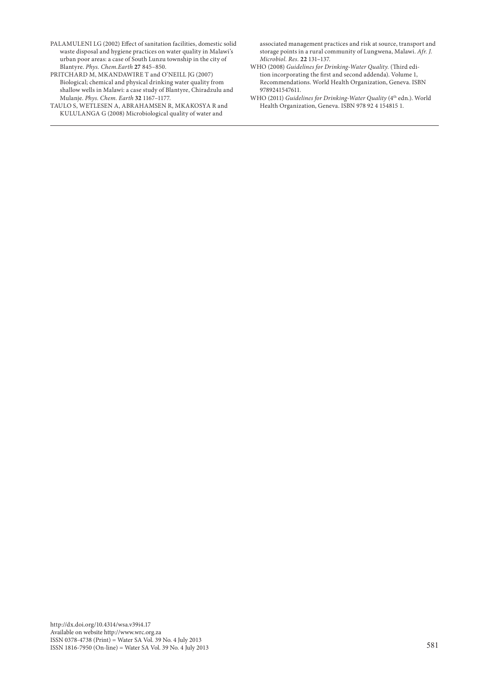- PALAMULENI LG (2002) Effect of sanitation facilities, domestic solid waste disposal and hygiene practices on water quality in Malawi's urban poor areas: a case of South Lunzu township in the city of Blantyre. *Phys. Chem.Earth* **27** 845–850.
- PRITCHARD M, MKANDAWIRE T and O'NEILL JG (2007) Biological; chemical and physical drinking water quality from shallow wells in Malawi: a case study of Blantyre, Chiradzulu and Mulanje. *Phys. Chem. Earth* **32** 1167–1177.
- TAULO S, WETLESEN A, ABRAHAMSEN R, MKAKOSYA R and KULULANGA G (2008) Microbiological quality of water and

associated management practices and risk at source, transport and storage points in a rural community of Lungwena, Malawi. *Afr. J. Microbiol. Res.* **22** 131–137.

- WHO (2008) *Guidelines for Drinking-Water Quality.* (Third edition incorporating the first and second addenda). Volume 1, Recommendations. World Health Organization, Geneva. ISBN 9789241547611.
- WHO (2011) *Guidelines for Drinking-Water Quality* (4<sup>th</sup> edn.). World Health Organization, Geneva. ISBN 978 92 4 154815 1.